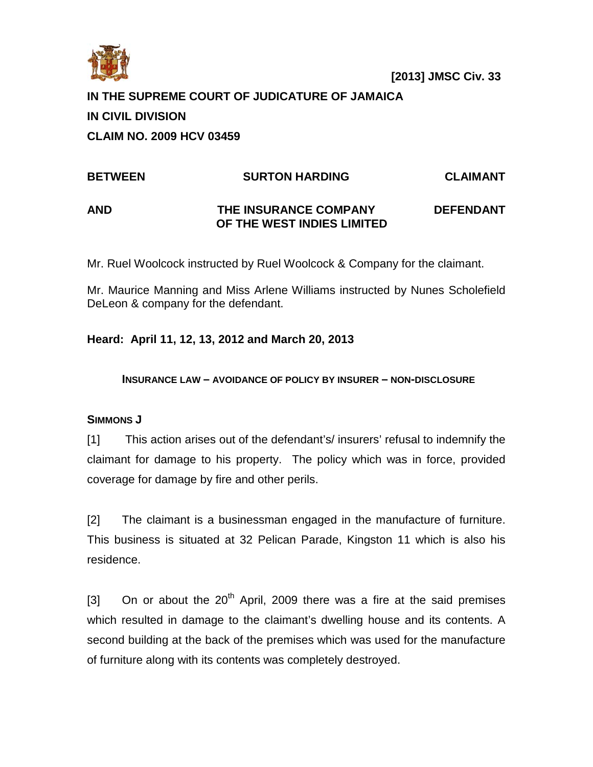

# **IN THE SUPREME COURT OF JUDICATURE OF JAMAICA**

# **IN CIVIL DIVISION**

**CLAIM NO. 2009 HCV 03459** 

# **BETWEEN SURTON HARDING CLAIMANT AND THE INSURANCE COMPANY DEFENDANT OF THE WEST INDIES LIMITED**

Mr. Ruel Woolcock instructed by Ruel Woolcock & Company for the claimant.

Mr. Maurice Manning and Miss Arlene Williams instructed by Nunes Scholefield DeLeon & company for the defendant.

# **Heard: April 11, 12, 13, 2012 and March 20, 2013**

**INSURANCE LAW – AVOIDANCE OF POLICY BY INSURER – NON-DISCLOSURE**

## **SIMMONS J**

[1] This action arises out of the defendant's/ insurers' refusal to indemnify the claimant for damage to his property. The policy which was in force, provided coverage for damage by fire and other perils.

[2] The claimant is a businessman engaged in the manufacture of furniture. This business is situated at 32 Pelican Parade, Kingston 11 which is also his residence.

[3] On or about the  $20<sup>th</sup>$  April, 2009 there was a fire at the said premises which resulted in damage to the claimant's dwelling house and its contents. A second building at the back of the premises which was used for the manufacture of furniture along with its contents was completely destroyed.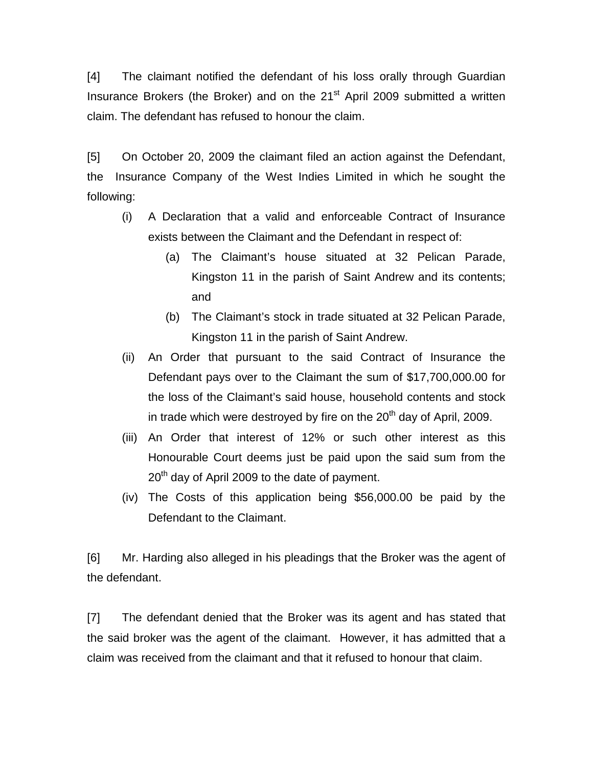[4] The claimant notified the defendant of his loss orally through Guardian Insurance Brokers (the Broker) and on the  $21<sup>st</sup>$  April 2009 submitted a written claim. The defendant has refused to honour the claim.

[5] On October 20, 2009 the claimant filed an action against the Defendant, the Insurance Company of the West Indies Limited in which he sought the following:

- (i) A Declaration that a valid and enforceable Contract of Insurance exists between the Claimant and the Defendant in respect of:
	- (a) The Claimant's house situated at 32 Pelican Parade, Kingston 11 in the parish of Saint Andrew and its contents; and
	- (b) The Claimant's stock in trade situated at 32 Pelican Parade, Kingston 11 in the parish of Saint Andrew.
- (ii) An Order that pursuant to the said Contract of Insurance the Defendant pays over to the Claimant the sum of \$17,700,000.00 for the loss of the Claimant's said house, household contents and stock in trade which were destroyed by fire on the  $20<sup>th</sup>$  day of April, 2009.
- (iii) An Order that interest of 12% or such other interest as this Honourable Court deems just be paid upon the said sum from the 20<sup>th</sup> day of April 2009 to the date of payment.
- (iv) The Costs of this application being \$56,000.00 be paid by the Defendant to the Claimant.

[6] Mr. Harding also alleged in his pleadings that the Broker was the agent of the defendant.

[7] The defendant denied that the Broker was its agent and has stated that the said broker was the agent of the claimant. However, it has admitted that a claim was received from the claimant and that it refused to honour that claim.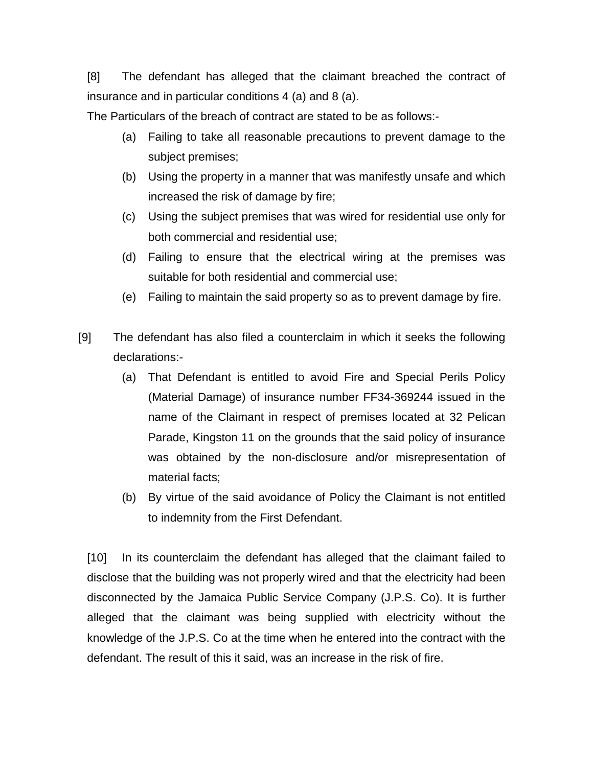[8] The defendant has alleged that the claimant breached the contract of insurance and in particular conditions 4 (a) and 8 (a).

The Particulars of the breach of contract are stated to be as follows:-

- (a) Failing to take all reasonable precautions to prevent damage to the subject premises;
- (b) Using the property in a manner that was manifestly unsafe and which increased the risk of damage by fire;
- (c) Using the subject premises that was wired for residential use only for both commercial and residential use;
- (d) Failing to ensure that the electrical wiring at the premises was suitable for both residential and commercial use;
- (e) Failing to maintain the said property so as to prevent damage by fire.
- [9] The defendant has also filed a counterclaim in which it seeks the following declarations:-
	- (a) That Defendant is entitled to avoid Fire and Special Perils Policy (Material Damage) of insurance number FF34-369244 issued in the name of the Claimant in respect of premises located at 32 Pelican Parade, Kingston 11 on the grounds that the said policy of insurance was obtained by the non-disclosure and/or misrepresentation of material facts;
	- (b) By virtue of the said avoidance of Policy the Claimant is not entitled to indemnity from the First Defendant.

[10] In its counterclaim the defendant has alleged that the claimant failed to disclose that the building was not properly wired and that the electricity had been disconnected by the Jamaica Public Service Company (J.P.S. Co). It is further alleged that the claimant was being supplied with electricity without the knowledge of the J.P.S. Co at the time when he entered into the contract with the defendant. The result of this it said, was an increase in the risk of fire.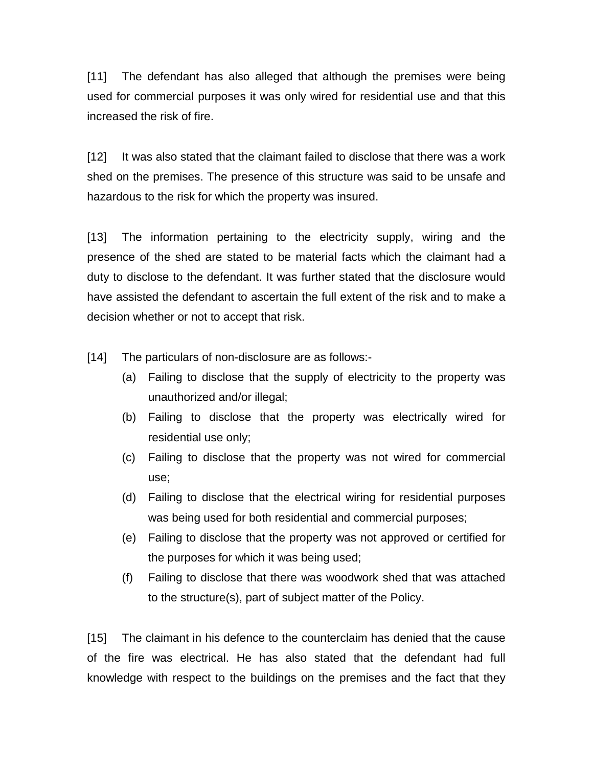[11] The defendant has also alleged that although the premises were being used for commercial purposes it was only wired for residential use and that this increased the risk of fire.

[12] It was also stated that the claimant failed to disclose that there was a work shed on the premises. The presence of this structure was said to be unsafe and hazardous to the risk for which the property was insured.

[13] The information pertaining to the electricity supply, wiring and the presence of the shed are stated to be material facts which the claimant had a duty to disclose to the defendant. It was further stated that the disclosure would have assisted the defendant to ascertain the full extent of the risk and to make a decision whether or not to accept that risk.

[14] The particulars of non-disclosure are as follows:-

- (a) Failing to disclose that the supply of electricity to the property was unauthorized and/or illegal;
- (b) Failing to disclose that the property was electrically wired for residential use only;
- (c) Failing to disclose that the property was not wired for commercial use;
- (d) Failing to disclose that the electrical wiring for residential purposes was being used for both residential and commercial purposes;
- (e) Failing to disclose that the property was not approved or certified for the purposes for which it was being used;
- (f) Failing to disclose that there was woodwork shed that was attached to the structure(s), part of subject matter of the Policy.

[15] The claimant in his defence to the counterclaim has denied that the cause of the fire was electrical. He has also stated that the defendant had full knowledge with respect to the buildings on the premises and the fact that they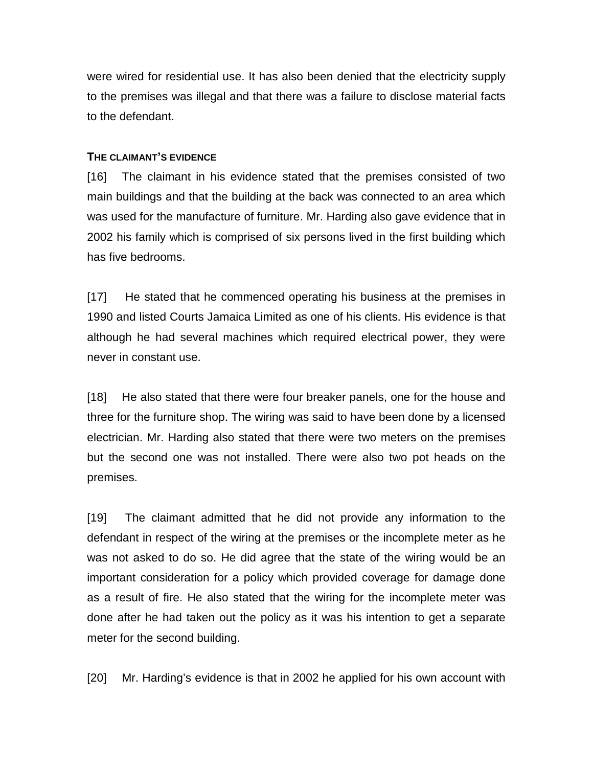were wired for residential use. It has also been denied that the electricity supply to the premises was illegal and that there was a failure to disclose material facts to the defendant.

## **THE CLAIMANT'S EVIDENCE**

[16] The claimant in his evidence stated that the premises consisted of two main buildings and that the building at the back was connected to an area which was used for the manufacture of furniture. Mr. Harding also gave evidence that in 2002 his family which is comprised of six persons lived in the first building which has five bedrooms.

[17] He stated that he commenced operating his business at the premises in 1990 and listed Courts Jamaica Limited as one of his clients. His evidence is that although he had several machines which required electrical power, they were never in constant use.

[18] He also stated that there were four breaker panels, one for the house and three for the furniture shop. The wiring was said to have been done by a licensed electrician. Mr. Harding also stated that there were two meters on the premises but the second one was not installed. There were also two pot heads on the premises.

[19] The claimant admitted that he did not provide any information to the defendant in respect of the wiring at the premises or the incomplete meter as he was not asked to do so. He did agree that the state of the wiring would be an important consideration for a policy which provided coverage for damage done as a result of fire. He also stated that the wiring for the incomplete meter was done after he had taken out the policy as it was his intention to get a separate meter for the second building.

[20] Mr. Harding's evidence is that in 2002 he applied for his own account with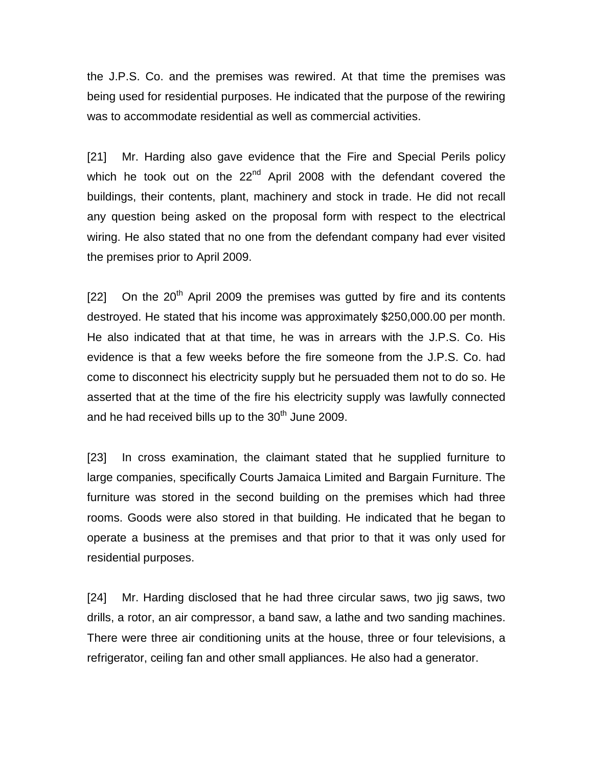the J.P.S. Co. and the premises was rewired. At that time the premises was being used for residential purposes. He indicated that the purpose of the rewiring was to accommodate residential as well as commercial activities.

[21] Mr. Harding also gave evidence that the Fire and Special Perils policy which he took out on the  $22<sup>nd</sup>$  April 2008 with the defendant covered the buildings, their contents, plant, machinery and stock in trade. He did not recall any question being asked on the proposal form with respect to the electrical wiring. He also stated that no one from the defendant company had ever visited the premises prior to April 2009.

 $[22]$  On the  $20<sup>th</sup>$  April 2009 the premises was gutted by fire and its contents destroyed. He stated that his income was approximately \$250,000.00 per month. He also indicated that at that time, he was in arrears with the J.P.S. Co. His evidence is that a few weeks before the fire someone from the J.P.S. Co. had come to disconnect his electricity supply but he persuaded them not to do so. He asserted that at the time of the fire his electricity supply was lawfully connected and he had received bills up to the  $30<sup>th</sup>$  June 2009.

[23] In cross examination, the claimant stated that he supplied furniture to large companies, specifically Courts Jamaica Limited and Bargain Furniture. The furniture was stored in the second building on the premises which had three rooms. Goods were also stored in that building. He indicated that he began to operate a business at the premises and that prior to that it was only used for residential purposes.

[24] Mr. Harding disclosed that he had three circular saws, two jig saws, two drills, a rotor, an air compressor, a band saw, a lathe and two sanding machines. There were three air conditioning units at the house, three or four televisions, a refrigerator, ceiling fan and other small appliances. He also had a generator.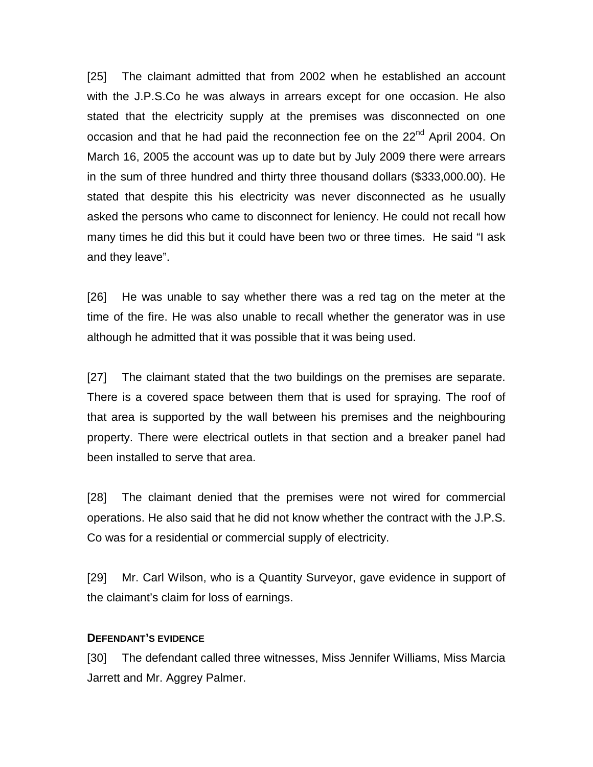[25] The claimant admitted that from 2002 when he established an account with the J.P.S.Co he was always in arrears except for one occasion. He also stated that the electricity supply at the premises was disconnected on one occasion and that he had paid the reconnection fee on the 22<sup>nd</sup> April 2004. On March 16, 2005 the account was up to date but by July 2009 there were arrears in the sum of three hundred and thirty three thousand dollars (\$333,000.00). He stated that despite this his electricity was never disconnected as he usually asked the persons who came to disconnect for leniency. He could not recall how many times he did this but it could have been two or three times. He said "I ask and they leave".

[26] He was unable to say whether there was a red tag on the meter at the time of the fire. He was also unable to recall whether the generator was in use although he admitted that it was possible that it was being used.

[27] The claimant stated that the two buildings on the premises are separate. There is a covered space between them that is used for spraying. The roof of that area is supported by the wall between his premises and the neighbouring property. There were electrical outlets in that section and a breaker panel had been installed to serve that area.

[28] The claimant denied that the premises were not wired for commercial operations. He also said that he did not know whether the contract with the J.P.S. Co was for a residential or commercial supply of electricity.

[29] Mr. Carl Wilson, who is a Quantity Surveyor, gave evidence in support of the claimant's claim for loss of earnings.

#### **DEFENDANT'S EVIDENCE**

[30] The defendant called three witnesses, Miss Jennifer Williams, Miss Marcia Jarrett and Mr. Aggrey Palmer.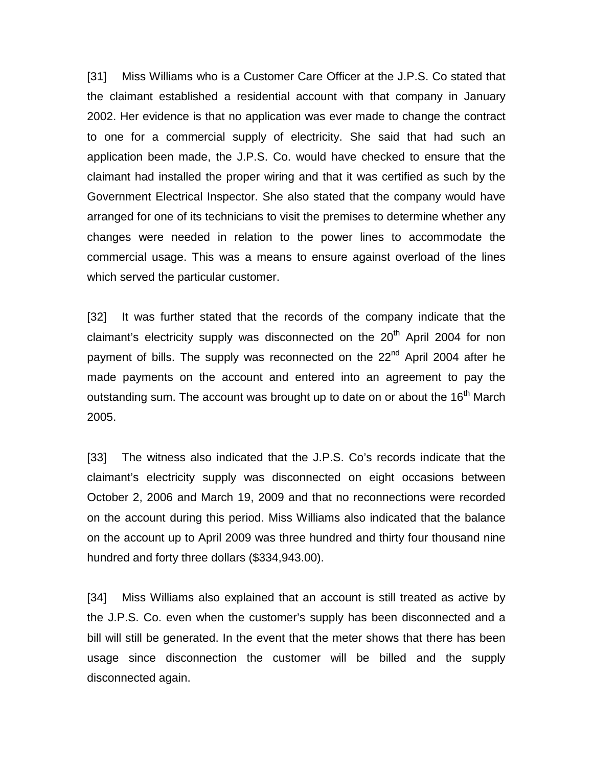[31] Miss Williams who is a Customer Care Officer at the J.P.S. Co stated that the claimant established a residential account with that company in January 2002. Her evidence is that no application was ever made to change the contract to one for a commercial supply of electricity. She said that had such an application been made, the J.P.S. Co. would have checked to ensure that the claimant had installed the proper wiring and that it was certified as such by the Government Electrical Inspector. She also stated that the company would have arranged for one of its technicians to visit the premises to determine whether any changes were needed in relation to the power lines to accommodate the commercial usage. This was a means to ensure against overload of the lines which served the particular customer.

[32] It was further stated that the records of the company indicate that the claimant's electricity supply was disconnected on the  $20<sup>th</sup>$  April 2004 for non payment of bills. The supply was reconnected on the 22<sup>nd</sup> April 2004 after he made payments on the account and entered into an agreement to pay the outstanding sum. The account was brought up to date on or about the 16<sup>th</sup> March 2005.

[33] The witness also indicated that the J.P.S. Co's records indicate that the claimant's electricity supply was disconnected on eight occasions between October 2, 2006 and March 19, 2009 and that no reconnections were recorded on the account during this period. Miss Williams also indicated that the balance on the account up to April 2009 was three hundred and thirty four thousand nine hundred and forty three dollars (\$334,943.00).

[34] Miss Williams also explained that an account is still treated as active by the J.P.S. Co. even when the customer's supply has been disconnected and a bill will still be generated. In the event that the meter shows that there has been usage since disconnection the customer will be billed and the supply disconnected again.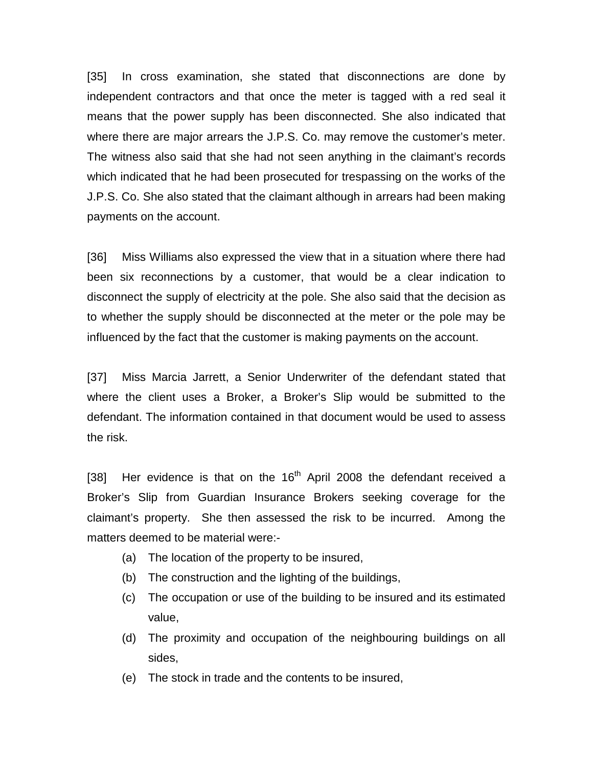[35] In cross examination, she stated that disconnections are done by independent contractors and that once the meter is tagged with a red seal it means that the power supply has been disconnected. She also indicated that where there are major arrears the J.P.S. Co. may remove the customer's meter. The witness also said that she had not seen anything in the claimant's records which indicated that he had been prosecuted for trespassing on the works of the J.P.S. Co. She also stated that the claimant although in arrears had been making payments on the account.

[36] Miss Williams also expressed the view that in a situation where there had been six reconnections by a customer, that would be a clear indication to disconnect the supply of electricity at the pole. She also said that the decision as to whether the supply should be disconnected at the meter or the pole may be influenced by the fact that the customer is making payments on the account.

[37] Miss Marcia Jarrett, a Senior Underwriter of the defendant stated that where the client uses a Broker, a Broker's Slip would be submitted to the defendant. The information contained in that document would be used to assess the risk.

[38] Her evidence is that on the  $16<sup>th</sup>$  April 2008 the defendant received a Broker's Slip from Guardian Insurance Brokers seeking coverage for the claimant's property. She then assessed the risk to be incurred. Among the matters deemed to be material were:-

- (a) The location of the property to be insured,
- (b) The construction and the lighting of the buildings,
- (c) The occupation or use of the building to be insured and its estimated value,
- (d) The proximity and occupation of the neighbouring buildings on all sides,
- (e) The stock in trade and the contents to be insured,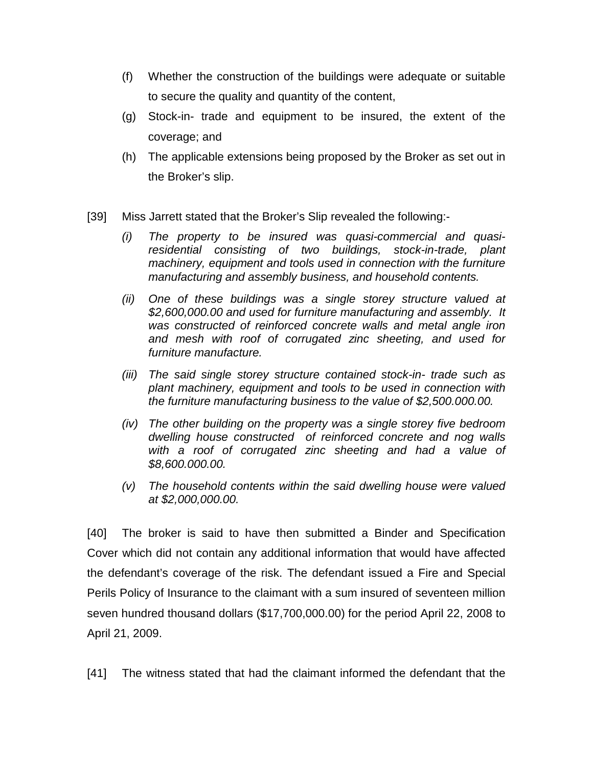- (f) Whether the construction of the buildings were adequate or suitable to secure the quality and quantity of the content,
- (g) Stock-in- trade and equipment to be insured, the extent of the coverage; and
- (h) The applicable extensions being proposed by the Broker as set out in the Broker's slip.
- [39] Miss Jarrett stated that the Broker's Slip revealed the following:-
	- *(i) The property to be insured was quasi-commercial and quasiresidential consisting of two buildings, stock-in-trade, plant machinery, equipment and tools used in connection with the furniture manufacturing and assembly business, and household contents.*
	- *(ii) One of these buildings was a single storey structure valued at \$2,600,000.00 and used for furniture manufacturing and assembly. It was constructed of reinforced concrete walls and metal angle iron and mesh with roof of corrugated zinc sheeting, and used for furniture manufacture.*
	- *(iii) The said single storey structure contained stock-in- trade such as plant machinery, equipment and tools to be used in connection with the furniture manufacturing business to the value of \$2,500.000.00.*
	- *(iv) The other building on the property was a single storey five bedroom dwelling house constructed of reinforced concrete and nog walls with a roof of corrugated zinc sheeting and had a value of \$8,600.000.00.*
	- *(v) The household contents within the said dwelling house were valued at \$2,000,000.00.*

[40] The broker is said to have then submitted a Binder and Specification Cover which did not contain any additional information that would have affected the defendant's coverage of the risk. The defendant issued a Fire and Special Perils Policy of Insurance to the claimant with a sum insured of seventeen million seven hundred thousand dollars (\$17,700,000.00) for the period April 22, 2008 to April 21, 2009.

[41] The witness stated that had the claimant informed the defendant that the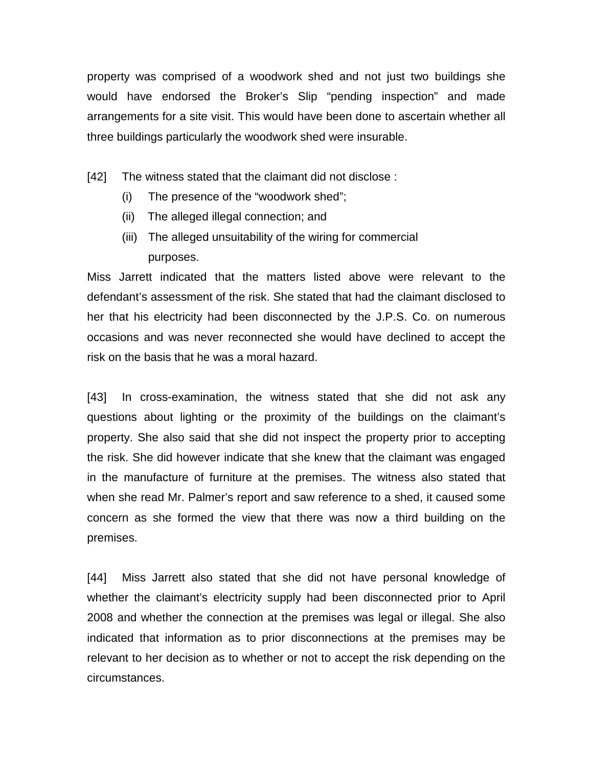property was comprised of a woodwork shed and not just two buildings she would have endorsed the Broker's Slip "pending inspection" and made arrangements for a site visit. This would have been done to ascertain whether all three buildings particularly the woodwork shed were insurable.

- [42] The witness stated that the claimant did not disclose :
	- (i) The presence of the "woodwork shed";
	- (ii) The alleged illegal connection; and
	- (iii) The alleged unsuitability of the wiring for commercial purposes.

Miss Jarrett indicated that the matters listed above were relevant to the defendant's assessment of the risk. She stated that had the claimant disclosed to her that his electricity had been disconnected by the J.P.S. Co. on numerous occasions and was never reconnected she would have declined to accept the risk on the basis that he was a moral hazard.

[43] In cross-examination, the witness stated that she did not ask any questions about lighting or the proximity of the buildings on the claimant's property. She also said that she did not inspect the property prior to accepting the risk. She did however indicate that she knew that the claimant was engaged in the manufacture of furniture at the premises. The witness also stated that when she read Mr. Palmer's report and saw reference to a shed, it caused some concern as she formed the view that there was now a third building on the premises.

[44] Miss Jarrett also stated that she did not have personal knowledge of whether the claimant's electricity supply had been disconnected prior to April 2008 and whether the connection at the premises was legal or illegal. She also indicated that information as to prior disconnections at the premises may be relevant to her decision as to whether or not to accept the risk depending on the circumstances.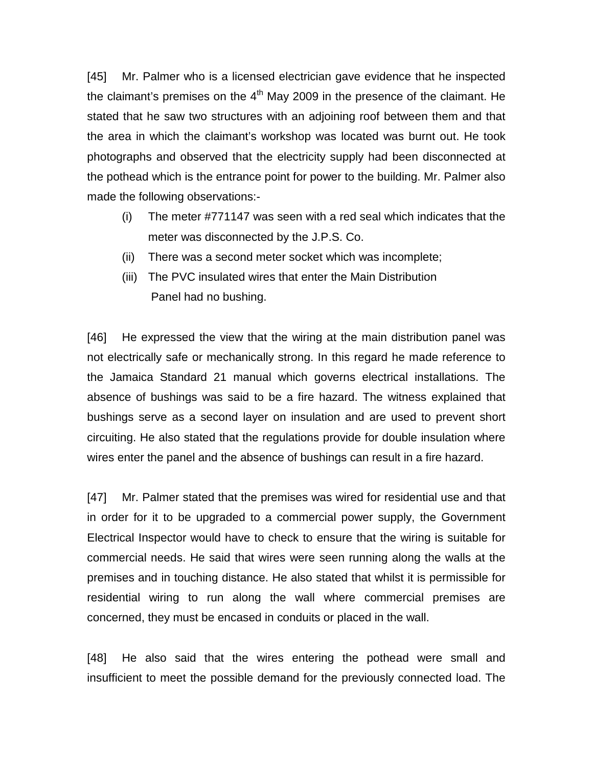[45] Mr. Palmer who is a licensed electrician gave evidence that he inspected the claimant's premises on the  $4<sup>th</sup>$  May 2009 in the presence of the claimant. He stated that he saw two structures with an adjoining roof between them and that the area in which the claimant's workshop was located was burnt out. He took photographs and observed that the electricity supply had been disconnected at the pothead which is the entrance point for power to the building. Mr. Palmer also made the following observations:-

- (i) The meter #771147 was seen with a red seal which indicates that the meter was disconnected by the J.P.S. Co.
- (ii) There was a second meter socket which was incomplete;
- (iii) The PVC insulated wires that enter the Main Distribution Panel had no bushing.

[46] He expressed the view that the wiring at the main distribution panel was not electrically safe or mechanically strong. In this regard he made reference to the Jamaica Standard 21 manual which governs electrical installations. The absence of bushings was said to be a fire hazard. The witness explained that bushings serve as a second layer on insulation and are used to prevent short circuiting. He also stated that the regulations provide for double insulation where wires enter the panel and the absence of bushings can result in a fire hazard.

[47] Mr. Palmer stated that the premises was wired for residential use and that in order for it to be upgraded to a commercial power supply, the Government Electrical Inspector would have to check to ensure that the wiring is suitable for commercial needs. He said that wires were seen running along the walls at the premises and in touching distance. He also stated that whilst it is permissible for residential wiring to run along the wall where commercial premises are concerned, they must be encased in conduits or placed in the wall.

[48] He also said that the wires entering the pothead were small and insufficient to meet the possible demand for the previously connected load. The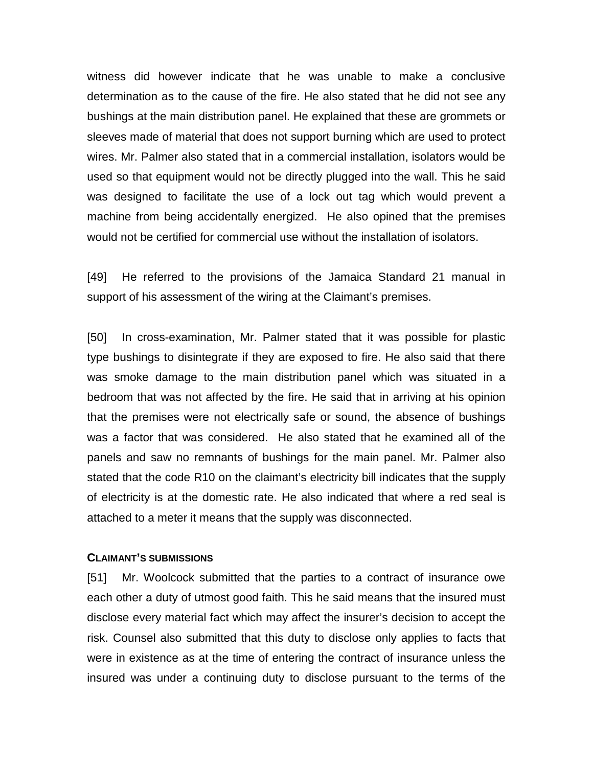witness did however indicate that he was unable to make a conclusive determination as to the cause of the fire. He also stated that he did not see any bushings at the main distribution panel. He explained that these are grommets or sleeves made of material that does not support burning which are used to protect wires. Mr. Palmer also stated that in a commercial installation, isolators would be used so that equipment would not be directly plugged into the wall. This he said was designed to facilitate the use of a lock out tag which would prevent a machine from being accidentally energized. He also opined that the premises would not be certified for commercial use without the installation of isolators.

[49] He referred to the provisions of the Jamaica Standard 21 manual in support of his assessment of the wiring at the Claimant's premises.

[50] In cross-examination, Mr. Palmer stated that it was possible for plastic type bushings to disintegrate if they are exposed to fire. He also said that there was smoke damage to the main distribution panel which was situated in a bedroom that was not affected by the fire. He said that in arriving at his opinion that the premises were not electrically safe or sound, the absence of bushings was a factor that was considered. He also stated that he examined all of the panels and saw no remnants of bushings for the main panel. Mr. Palmer also stated that the code R10 on the claimant's electricity bill indicates that the supply of electricity is at the domestic rate. He also indicated that where a red seal is attached to a meter it means that the supply was disconnected.

#### **CLAIMANT'S SUBMISSIONS**

[51] Mr. Woolcock submitted that the parties to a contract of insurance owe each other a duty of utmost good faith. This he said means that the insured must disclose every material fact which may affect the insurer's decision to accept the risk. Counsel also submitted that this duty to disclose only applies to facts that were in existence as at the time of entering the contract of insurance unless the insured was under a continuing duty to disclose pursuant to the terms of the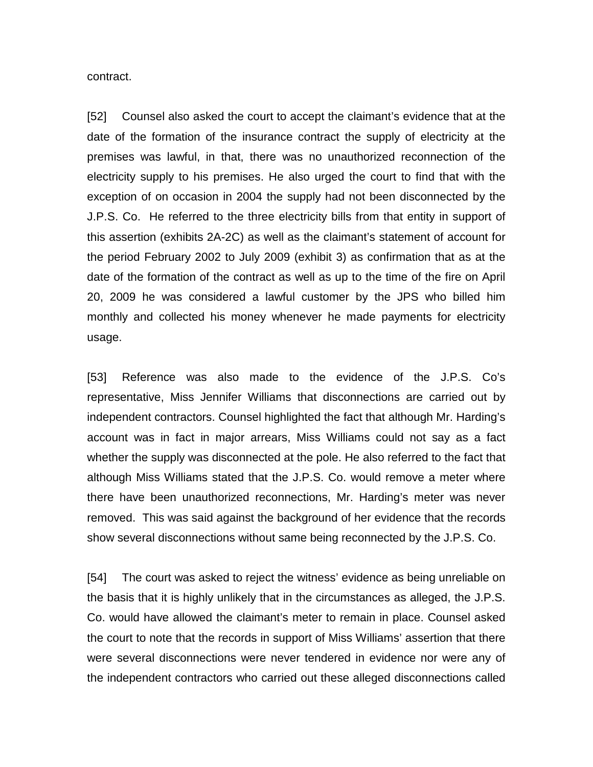contract.

[52] Counsel also asked the court to accept the claimant's evidence that at the date of the formation of the insurance contract the supply of electricity at the premises was lawful, in that, there was no unauthorized reconnection of the electricity supply to his premises. He also urged the court to find that with the exception of on occasion in 2004 the supply had not been disconnected by the J.P.S. Co. He referred to the three electricity bills from that entity in support of this assertion (exhibits 2A-2C) as well as the claimant's statement of account for the period February 2002 to July 2009 (exhibit 3) as confirmation that as at the date of the formation of the contract as well as up to the time of the fire on April 20, 2009 he was considered a lawful customer by the JPS who billed him monthly and collected his money whenever he made payments for electricity usage.

[53] Reference was also made to the evidence of the J.P.S. Co's representative, Miss Jennifer Williams that disconnections are carried out by independent contractors. Counsel highlighted the fact that although Mr. Harding's account was in fact in major arrears, Miss Williams could not say as a fact whether the supply was disconnected at the pole. He also referred to the fact that although Miss Williams stated that the J.P.S. Co. would remove a meter where there have been unauthorized reconnections, Mr. Harding's meter was never removed. This was said against the background of her evidence that the records show several disconnections without same being reconnected by the J.P.S. Co.

[54] The court was asked to reject the witness' evidence as being unreliable on the basis that it is highly unlikely that in the circumstances as alleged, the J.P.S. Co. would have allowed the claimant's meter to remain in place. Counsel asked the court to note that the records in support of Miss Williams' assertion that there were several disconnections were never tendered in evidence nor were any of the independent contractors who carried out these alleged disconnections called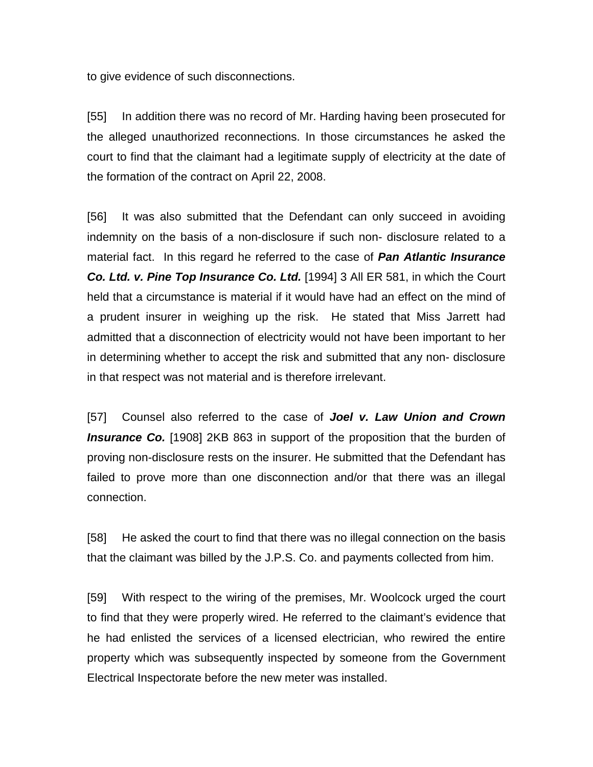to give evidence of such disconnections.

[55] In addition there was no record of Mr. Harding having been prosecuted for the alleged unauthorized reconnections. In those circumstances he asked the court to find that the claimant had a legitimate supply of electricity at the date of the formation of the contract on April 22, 2008.

[56] It was also submitted that the Defendant can only succeed in avoiding indemnity on the basis of a non-disclosure if such non- disclosure related to a material fact. In this regard he referred to the case of *Pan Atlantic Insurance*  **Co. Ltd. v. Pine Top Insurance Co. Ltd.** [1994] 3 All ER 581, in which the Court held that a circumstance is material if it would have had an effect on the mind of a prudent insurer in weighing up the risk. He stated that Miss Jarrett had admitted that a disconnection of electricity would not have been important to her in determining whether to accept the risk and submitted that any non- disclosure in that respect was not material and is therefore irrelevant.

[57] Counsel also referred to the case of *Joel v. Law Union and Crown*  **Insurance Co.** [1908] 2KB 863 in support of the proposition that the burden of proving non-disclosure rests on the insurer. He submitted that the Defendant has failed to prove more than one disconnection and/or that there was an illegal connection.

[58] He asked the court to find that there was no illegal connection on the basis that the claimant was billed by the J.P.S. Co. and payments collected from him.

[59] With respect to the wiring of the premises, Mr. Woolcock urged the court to find that they were properly wired. He referred to the claimant's evidence that he had enlisted the services of a licensed electrician, who rewired the entire property which was subsequently inspected by someone from the Government Electrical Inspectorate before the new meter was installed.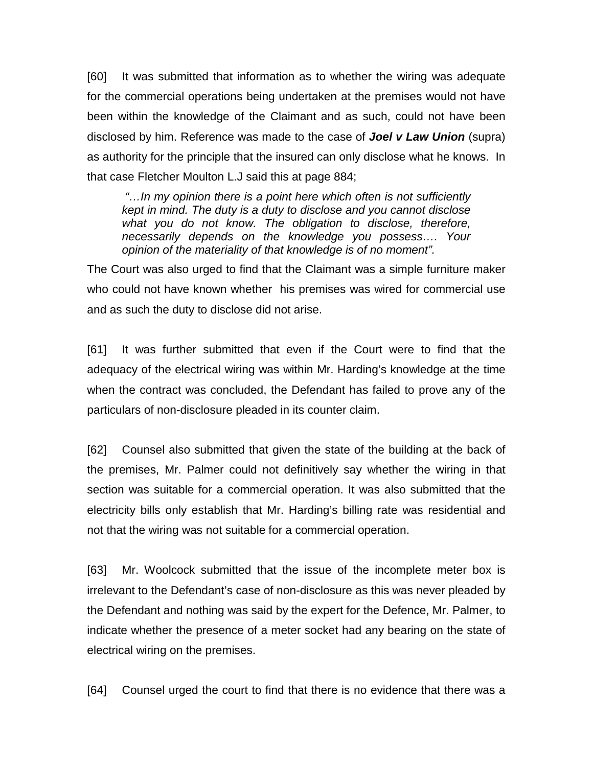[60] It was submitted that information as to whether the wiring was adequate for the commercial operations being undertaken at the premises would not have been within the knowledge of the Claimant and as such, could not have been disclosed by him. Reference was made to the case of *Joel v Law Union* (supra) as authority for the principle that the insured can only disclose what he knows. In that case Fletcher Moulton L.J said this at page 884;

*"…In my opinion there is a point here which often is not sufficiently kept in mind. The duty is a duty to disclose and you cannot disclose what you do not know. The obligation to disclose, therefore, necessarily depends on the knowledge you possess…. Your opinion of the materiality of that knowledge is of no moment".*

The Court was also urged to find that the Claimant was a simple furniture maker who could not have known whether his premises was wired for commercial use and as such the duty to disclose did not arise.

[61] It was further submitted that even if the Court were to find that the adequacy of the electrical wiring was within Mr. Harding's knowledge at the time when the contract was concluded, the Defendant has failed to prove any of the particulars of non-disclosure pleaded in its counter claim.

[62] Counsel also submitted that given the state of the building at the back of the premises, Mr. Palmer could not definitively say whether the wiring in that section was suitable for a commercial operation. It was also submitted that the electricity bills only establish that Mr. Harding's billing rate was residential and not that the wiring was not suitable for a commercial operation.

[63] Mr. Woolcock submitted that the issue of the incomplete meter box is irrelevant to the Defendant's case of non-disclosure as this was never pleaded by the Defendant and nothing was said by the expert for the Defence, Mr. Palmer, to indicate whether the presence of a meter socket had any bearing on the state of electrical wiring on the premises.

[64] Counsel urged the court to find that there is no evidence that there was a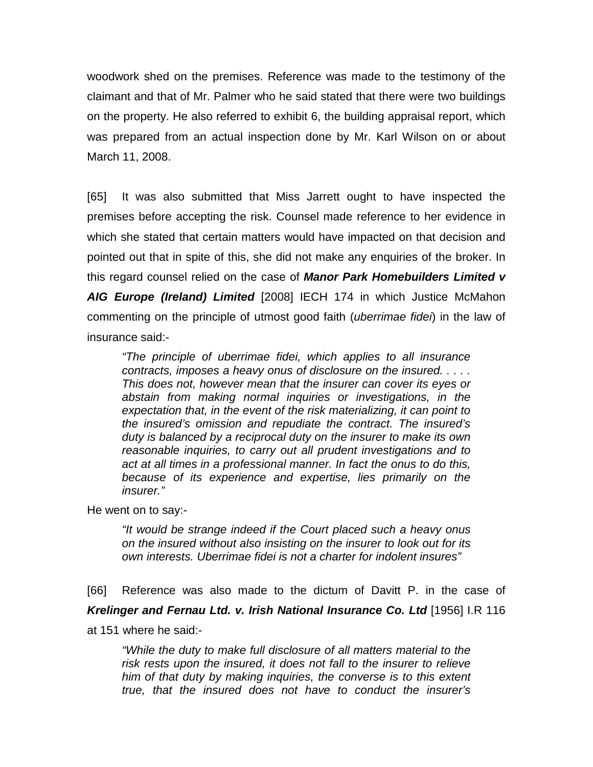woodwork shed on the premises. Reference was made to the testimony of the claimant and that of Mr. Palmer who he said stated that there were two buildings on the property. He also referred to exhibit 6, the building appraisal report, which was prepared from an actual inspection done by Mr. Karl Wilson on or about March 11, 2008.

[65] It was also submitted that Miss Jarrett ought to have inspected the premises before accepting the risk. Counsel made reference to her evidence in which she stated that certain matters would have impacted on that decision and pointed out that in spite of this, she did not make any enquiries of the broker. In this regard counsel relied on the case of *Manor Park Homebuilders Limited v AIG Europe (Ireland) Limited* [2008] IECH 174 in which Justice McMahon commenting on the principle of utmost good faith (*uberrimae fidei*) in the law of insurance said:-

*"The principle of uberrimae fidei, which applies to all insurance contracts, imposes a heavy onus of disclosure on the insured. . . . . This does not, however mean that the insurer can cover its eyes or abstain from making normal inquiries or investigations, in the expectation that, in the event of the risk materializing, it can point to the insured's omission and repudiate the contract. The insured's duty is balanced by a reciprocal duty on the insurer to make its own reasonable inquiries, to carry out all prudent investigations and to act at all times in a professional manner. In fact the onus to do this, because of its experience and expertise, lies primarily on the insurer."*

He went on to say:-

*"It would be strange indeed if the Court placed such a heavy onus on the insured without also insisting on the insurer to look out for its own interests. Uberrimae fidei is not a charter for indolent insures"*

[66] Reference was also made to the dictum of Davitt P. in the case of *Krelinger and Fernau Ltd. v. Irish National Insurance Co. Ltd* [1956] I.R 116 at 151 where he said:-

*"While the duty to make full disclosure of all matters material to the risk rests upon the insured, it does not fall to the insurer to relieve him of that duty by making inquiries, the converse is to this extent true, that the insured does not have to conduct the insurer's*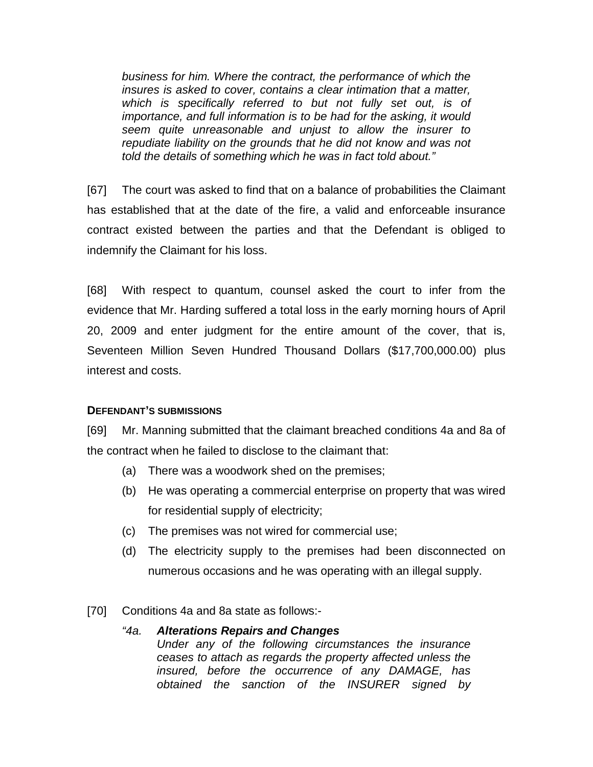*business for him. Where the contract, the performance of which the insures is asked to cover, contains a clear intimation that a matter, which is specifically referred to but not fully set out, is of importance, and full information is to be had for the asking, it would seem quite unreasonable and unjust to allow the insurer to repudiate liability on the grounds that he did not know and was not told the details of something which he was in fact told about."*

[67] The court was asked to find that on a balance of probabilities the Claimant has established that at the date of the fire, a valid and enforceable insurance contract existed between the parties and that the Defendant is obliged to indemnify the Claimant for his loss.

[68] With respect to quantum, counsel asked the court to infer from the evidence that Mr. Harding suffered a total loss in the early morning hours of April 20, 2009 and enter judgment for the entire amount of the cover, that is, Seventeen Million Seven Hundred Thousand Dollars (\$17,700,000.00) plus interest and costs.

## **DEFENDANT'S SUBMISSIONS**

[69] Mr. Manning submitted that the claimant breached conditions 4a and 8a of the contract when he failed to disclose to the claimant that:

- (a) There was a woodwork shed on the premises;
- (b) He was operating a commercial enterprise on property that was wired for residential supply of electricity;
- (c) The premises was not wired for commercial use;
- (d) The electricity supply to the premises had been disconnected on numerous occasions and he was operating with an illegal supply.
- [70] Conditions 4a and 8a state as follows:-

## *"4a. Alterations Repairs and Changes Under any of the following circumstances the insurance ceases to attach as regards the property affected unless the insured, before the occurrence of any DAMAGE, has obtained the sanction of the INSURER signed by*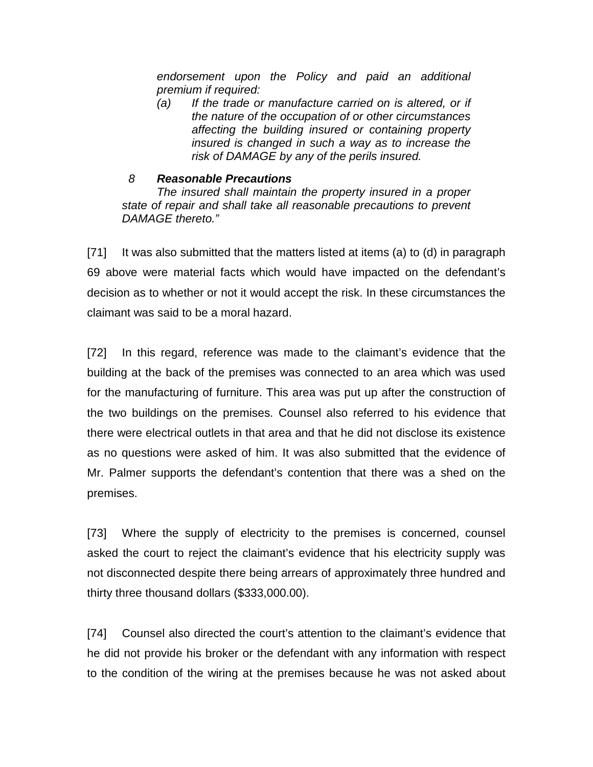*endorsement upon the Policy and paid an additional premium if required:*

*(a) If the trade or manufacture carried on is altered, or if the nature of the occupation of or other circumstances affecting the building insured or containing property insured is changed in such a way as to increase the risk of DAMAGE by any of the perils insured.*

## *8 Reasonable Precautions*

*The insured shall maintain the property insured in a proper state of repair and shall take all reasonable precautions to prevent DAMAGE thereto."*

[71] It was also submitted that the matters listed at items (a) to (d) in paragraph 69 above were material facts which would have impacted on the defendant's decision as to whether or not it would accept the risk. In these circumstances the claimant was said to be a moral hazard.

[72] In this regard, reference was made to the claimant's evidence that the building at the back of the premises was connected to an area which was used for the manufacturing of furniture. This area was put up after the construction of the two buildings on the premises. Counsel also referred to his evidence that there were electrical outlets in that area and that he did not disclose its existence as no questions were asked of him. It was also submitted that the evidence of Mr. Palmer supports the defendant's contention that there was a shed on the premises.

[73] Where the supply of electricity to the premises is concerned, counsel asked the court to reject the claimant's evidence that his electricity supply was not disconnected despite there being arrears of approximately three hundred and thirty three thousand dollars (\$333,000.00).

[74] Counsel also directed the court's attention to the claimant's evidence that he did not provide his broker or the defendant with any information with respect to the condition of the wiring at the premises because he was not asked about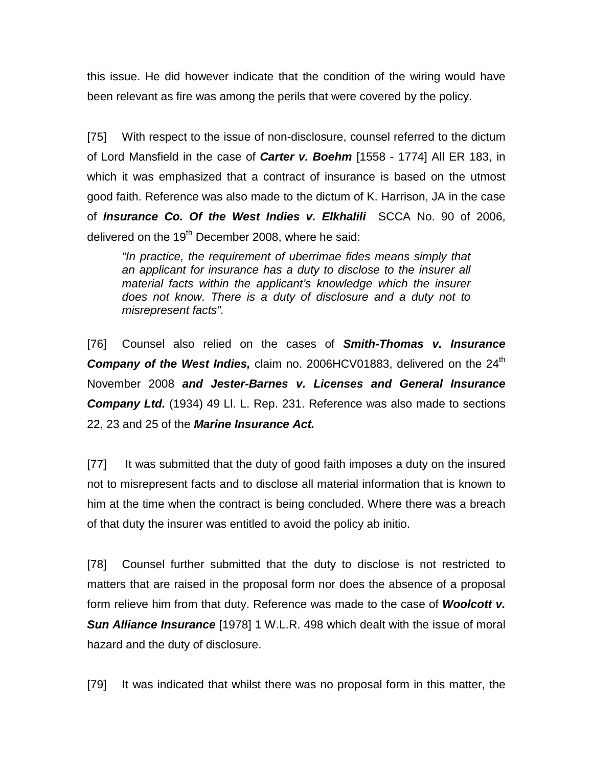this issue. He did however indicate that the condition of the wiring would have been relevant as fire was among the perils that were covered by the policy.

[75] With respect to the issue of non-disclosure, counsel referred to the dictum of Lord Mansfield in the case of *Carter v. Boehm* [1558 - 1774] All ER 183, in which it was emphasized that a contract of insurance is based on the utmost good faith. Reference was also made to the dictum of K. Harrison, JA in the case of *Insurance Co. Of the West Indies v. Elkhalili* SCCA No. 90 of 2006, delivered on the 19<sup>th</sup> December 2008, where he said:

*"In practice, the requirement of uberrimae fides means simply that an applicant for insurance has a duty to disclose to the insurer all material facts within the applicant's knowledge which the insurer does not know. There is a duty of disclosure and a duty not to misrepresent facts".* 

[76] Counsel also relied on the cases of *Smith-Thomas v. Insurance*  **Company of the West Indies,** claim no. 2006HCV01883, delivered on the 24<sup>th</sup> November 2008 *and Jester-Barnes v. Licenses and General Insurance Company Ltd.* (1934) 49 Ll. L. Rep. 231. Reference was also made to sections 22, 23 and 25 of the *Marine Insurance Act.*

[77] It was submitted that the duty of good faith imposes a duty on the insured not to misrepresent facts and to disclose all material information that is known to him at the time when the contract is being concluded. Where there was a breach of that duty the insurer was entitled to avoid the policy ab initio.

[78] Counsel further submitted that the duty to disclose is not restricted to matters that are raised in the proposal form nor does the absence of a proposal form relieve him from that duty. Reference was made to the case of *Woolcott v.*  **Sun Alliance Insurance** [1978] 1 W.L.R. 498 which dealt with the issue of moral hazard and the duty of disclosure.

[79] It was indicated that whilst there was no proposal form in this matter, the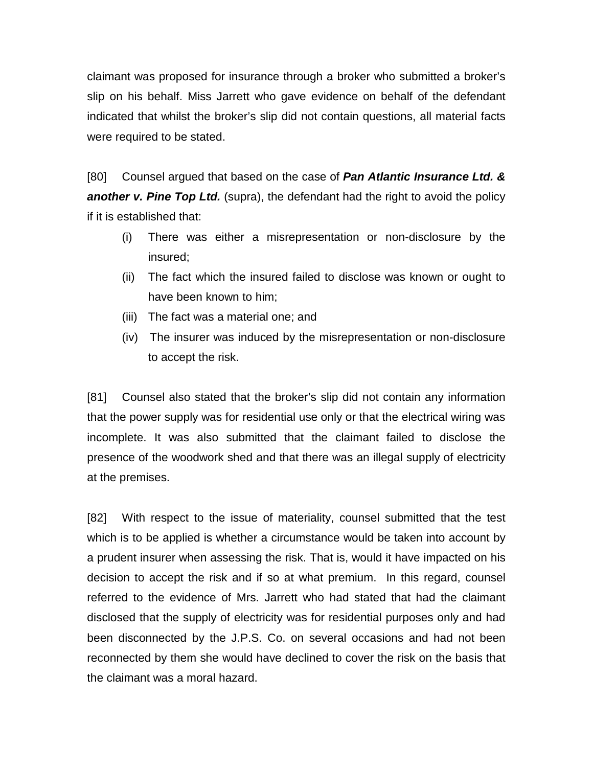claimant was proposed for insurance through a broker who submitted a broker's slip on his behalf. Miss Jarrett who gave evidence on behalf of the defendant indicated that whilst the broker's slip did not contain questions, all material facts were required to be stated.

[80] Counsel argued that based on the case of *Pan Atlantic Insurance Ltd. &*  **another v. Pine Top Ltd.** (supra), the defendant had the right to avoid the policy if it is established that:

- (i) There was either a misrepresentation or non-disclosure by the insured;
- (ii) The fact which the insured failed to disclose was known or ought to have been known to him;
- (iii) The fact was a material one; and
- (iv) The insurer was induced by the misrepresentation or non-disclosure to accept the risk.

[81] Counsel also stated that the broker's slip did not contain any information that the power supply was for residential use only or that the electrical wiring was incomplete. It was also submitted that the claimant failed to disclose the presence of the woodwork shed and that there was an illegal supply of electricity at the premises.

[82] With respect to the issue of materiality, counsel submitted that the test which is to be applied is whether a circumstance would be taken into account by a prudent insurer when assessing the risk. That is, would it have impacted on his decision to accept the risk and if so at what premium. In this regard, counsel referred to the evidence of Mrs. Jarrett who had stated that had the claimant disclosed that the supply of electricity was for residential purposes only and had been disconnected by the J.P.S. Co. on several occasions and had not been reconnected by them she would have declined to cover the risk on the basis that the claimant was a moral hazard.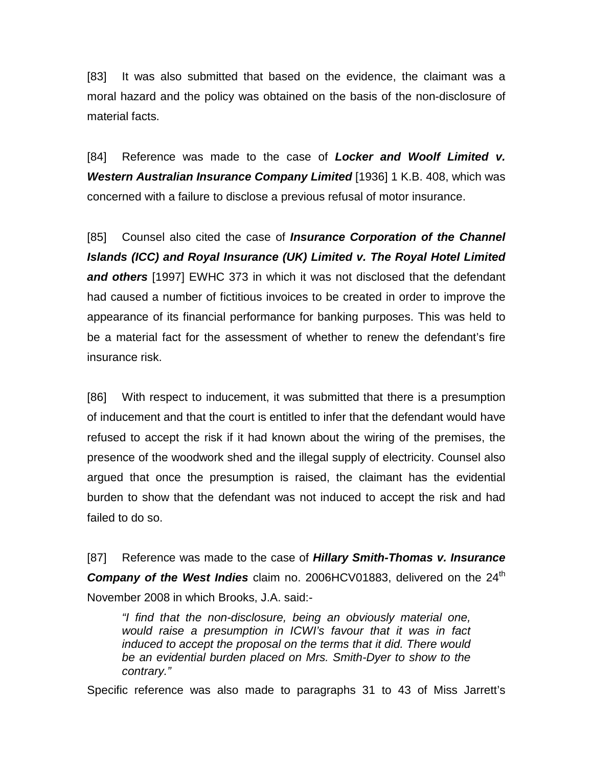[83] It was also submitted that based on the evidence, the claimant was a moral hazard and the policy was obtained on the basis of the non-disclosure of material facts.

[84] Reference was made to the case of *Locker and Woolf Limited v. Western Australian Insurance Company Limited* [1936] 1 K.B. 408, which was concerned with a failure to disclose a previous refusal of motor insurance.

[85] Counsel also cited the case of *Insurance Corporation of the Channel Islands (ICC) and Royal Insurance (UK) Limited v. The Royal Hotel Limited and others* [1997] EWHC 373 in which it was not disclosed that the defendant had caused a number of fictitious invoices to be created in order to improve the appearance of its financial performance for banking purposes. This was held to be a material fact for the assessment of whether to renew the defendant's fire insurance risk.

[86] With respect to inducement, it was submitted that there is a presumption of inducement and that the court is entitled to infer that the defendant would have refused to accept the risk if it had known about the wiring of the premises, the presence of the woodwork shed and the illegal supply of electricity. Counsel also argued that once the presumption is raised, the claimant has the evidential burden to show that the defendant was not induced to accept the risk and had failed to do so.

[87] Reference was made to the case of *Hillary Smith-Thomas v. Insurance*  **Company of the West Indies** claim no. 2006HCV01883, delivered on the 24<sup>th</sup> November 2008 in which Brooks, J.A. said:-

*"I find that the non-disclosure, being an obviously material one, would raise a presumption in ICWI's favour that it was in fact induced to accept the proposal on the terms that it did. There would be an evidential burden placed on Mrs. Smith-Dyer to show to the contrary."*

Specific reference was also made to paragraphs 31 to 43 of Miss Jarrett's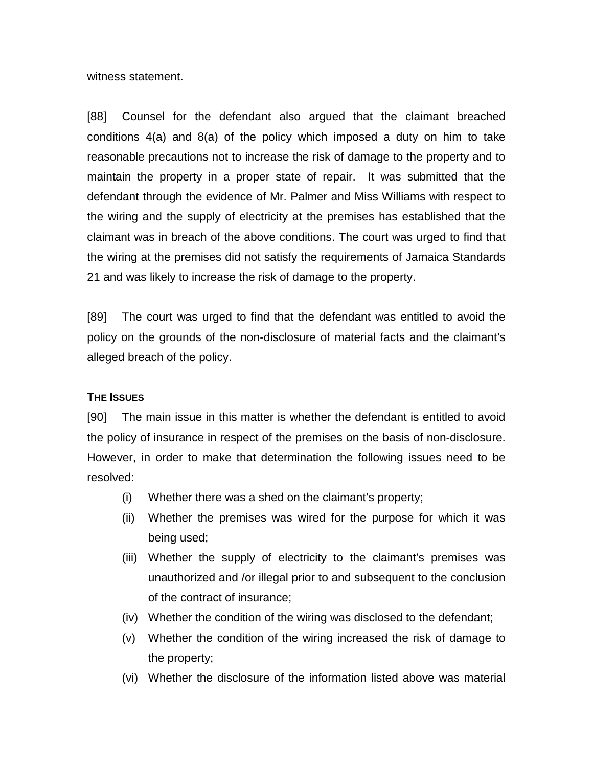witness statement.

[88] Counsel for the defendant also argued that the claimant breached conditions 4(a) and 8(a) of the policy which imposed a duty on him to take reasonable precautions not to increase the risk of damage to the property and to maintain the property in a proper state of repair. It was submitted that the defendant through the evidence of Mr. Palmer and Miss Williams with respect to the wiring and the supply of electricity at the premises has established that the claimant was in breach of the above conditions. The court was urged to find that the wiring at the premises did not satisfy the requirements of Jamaica Standards 21 and was likely to increase the risk of damage to the property.

[89] The court was urged to find that the defendant was entitled to avoid the policy on the grounds of the non-disclosure of material facts and the claimant's alleged breach of the policy.

## **THE ISSUES**

[90] The main issue in this matter is whether the defendant is entitled to avoid the policy of insurance in respect of the premises on the basis of non-disclosure. However, in order to make that determination the following issues need to be resolved:

- (i) Whether there was a shed on the claimant's property;
- (ii) Whether the premises was wired for the purpose for which it was being used;
- (iii) Whether the supply of electricity to the claimant's premises was unauthorized and /or illegal prior to and subsequent to the conclusion of the contract of insurance;
- (iv) Whether the condition of the wiring was disclosed to the defendant;
- (v) Whether the condition of the wiring increased the risk of damage to the property;
- (vi) Whether the disclosure of the information listed above was material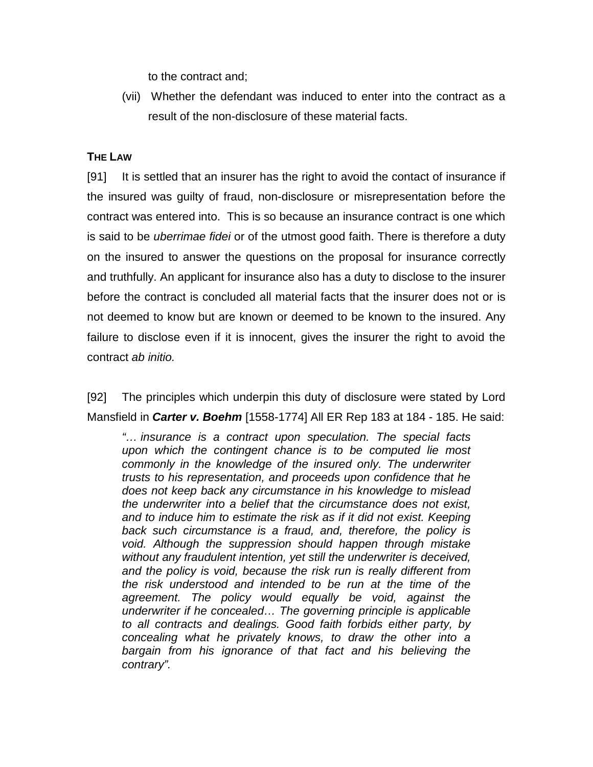to the contract and;

(vii) Whether the defendant was induced to enter into the contract as a result of the non-disclosure of these material facts.

## **THE LAW**

[91] It is settled that an insurer has the right to avoid the contact of insurance if the insured was guilty of fraud, non-disclosure or misrepresentation before the contract was entered into. This is so because an insurance contract is one which is said to be *uberrimae fidei* or of the utmost good faith. There is therefore a duty on the insured to answer the questions on the proposal for insurance correctly and truthfully. An applicant for insurance also has a duty to disclose to the insurer before the contract is concluded all material facts that the insurer does not or is not deemed to know but are known or deemed to be known to the insured. Any failure to disclose even if it is innocent, gives the insurer the right to avoid the contract *ab initio.* 

[92] The principles which underpin this duty of disclosure were stated by Lord Mansfield in *Carter v. Boehm* [1558-1774] All ER Rep 183 at 184 - 185. He said:

*"… insurance is a contract upon speculation. The special facts upon which the contingent chance is to be computed lie most commonly in the knowledge of the insured only. The underwriter trusts to his representation, and proceeds upon confidence that he does not keep back any circumstance in his knowledge to mislead the underwriter into a belief that the circumstance does not exist, and to induce him to estimate the risk as if it did not exist. Keeping back such circumstance is a fraud, and, therefore, the policy is void. Although the suppression should happen through mistake without any fraudulent intention, yet still the underwriter is deceived, and the policy is void, because the risk run is really different from the risk understood and intended to be run at the time of the agreement. The policy would equally be void, against the underwriter if he concealed… The governing principle is applicable to all contracts and dealings. Good faith forbids either party, by concealing what he privately knows, to draw the other into a bargain from his ignorance of that fact and his believing the contrary".*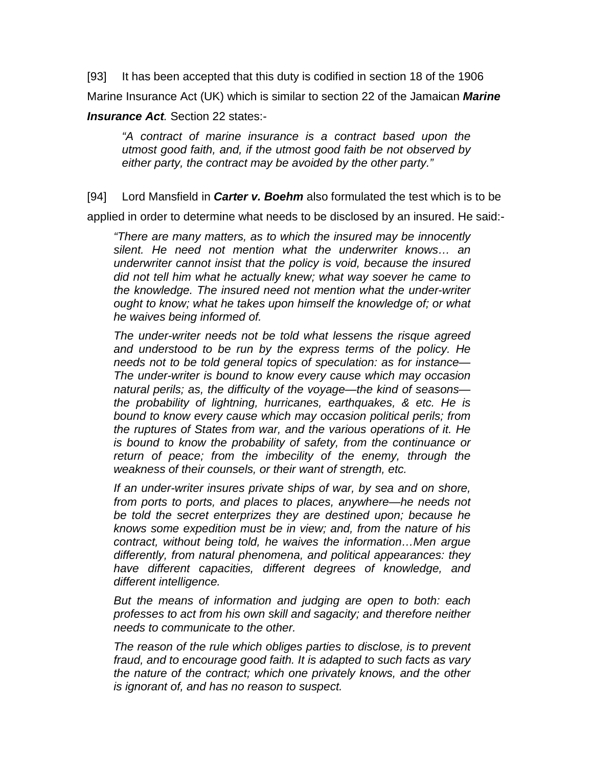[93] It has been accepted that this duty is codified in section 18 of the 1906

Marine Insurance Act (UK) which is similar to section 22 of the Jamaican *Marine* 

## *Insurance Act.* Section 22 states:-

*"A contract of marine insurance is a contract based upon the utmost good faith, and, if the utmost good faith be not observed by either party, the contract may be avoided by the other party."*

[94] Lord Mansfield in *Carter v. Boehm* also formulated the test which is to be

applied in order to determine what needs to be disclosed by an insured. He said:-

*"There are many matters, as to which the insured may be innocently silent. He need not mention what the underwriter knows… an underwriter cannot insist that the policy is void, because the insured did not tell him what he actually knew; what way soever he came to the knowledge. The insured need not mention what the under-writer ought to know; what he takes upon himself the knowledge of; or what he waives being informed of.*

*The under-writer needs not be told what lessens the risque agreed and understood to be run by the express terms of the policy. He needs not to be told general topics of speculation: as for instance— The under-writer is bound to know every cause which may occasion natural perils; as, the difficulty of the voyage—the kind of seasons the probability of lightning, hurricanes, earthquakes, & etc. He is bound to know every cause which may occasion political perils; from the ruptures of States from war, and the various operations of it. He is bound to know the probability of safety, from the continuance or return of peace; from the imbecility of the enemy, through the weakness of their counsels, or their want of strength, etc.*

*If an under-writer insures private ships of war, by sea and on shore, from ports to ports, and places to places, anywhere—he needs not be told the secret enterprizes they are destined upon; because he knows some expedition must be in view; and, from the nature of his contract, without being told, he waives the information…Men argue differently, from natural phenomena, and political appearances: they have different capacities, different degrees of knowledge, and different intelligence.*

*But the means of information and judging are open to both: each professes to act from his own skill and sagacity; and therefore neither needs to communicate to the other.*

*The reason of the rule which obliges parties to disclose, is to prevent fraud, and to encourage good faith. It is adapted to such facts as vary the nature of the contract; which one privately knows, and the other is ignorant of, and has no reason to suspect.*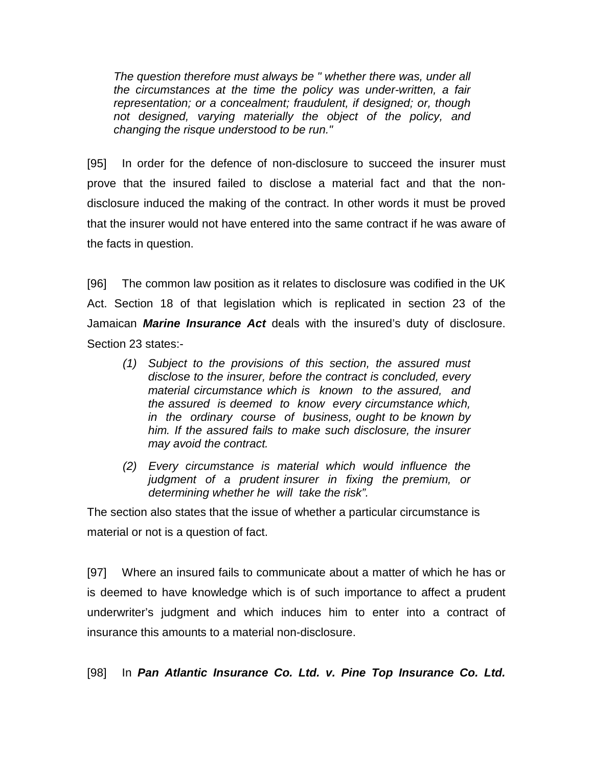*The question therefore must always be " whether there was, under all the circumstances at the time the policy was under-written, a fair representation; or a concealment; fraudulent, if designed; or, though not designed, varying materially the object of the policy, and changing the risque understood to be run."*

[95] In order for the defence of non-disclosure to succeed the insurer must prove that the insured failed to disclose a material fact and that the nondisclosure induced the making of the contract. In other words it must be proved that the insurer would not have entered into the same contract if he was aware of the facts in question.

[96] The common law position as it relates to disclosure was codified in the UK Act. Section 18 of that legislation which is replicated in section 23 of the Jamaican *Marine Insurance Act* deals with the insured's duty of disclosure. Section 23 states:-

- *(1) Subject to the provisions of this section, the assured must disclose to the insurer, before the contract is concluded, every material circumstance which is known to the assured, and the assured is deemed to know every circumstance which, in the ordinary course of business, ought to be known by him. If the assured fails to make such disclosure, the insurer may avoid the contract.*
- *(2) Every circumstance is material which would influence the judgment of a prudent insurer in fixing the premium, or determining whether he will take the risk".*

The section also states that the issue of whether a particular circumstance is material or not is a question of fact.

[97] Where an insured fails to communicate about a matter of which he has or is deemed to have knowledge which is of such importance to affect a prudent underwriter's judgment and which induces him to enter into a contract of insurance this amounts to a material non-disclosure.

[98] In *Pan Atlantic Insurance Co. Ltd. v. Pine Top Insurance Co. Ltd.*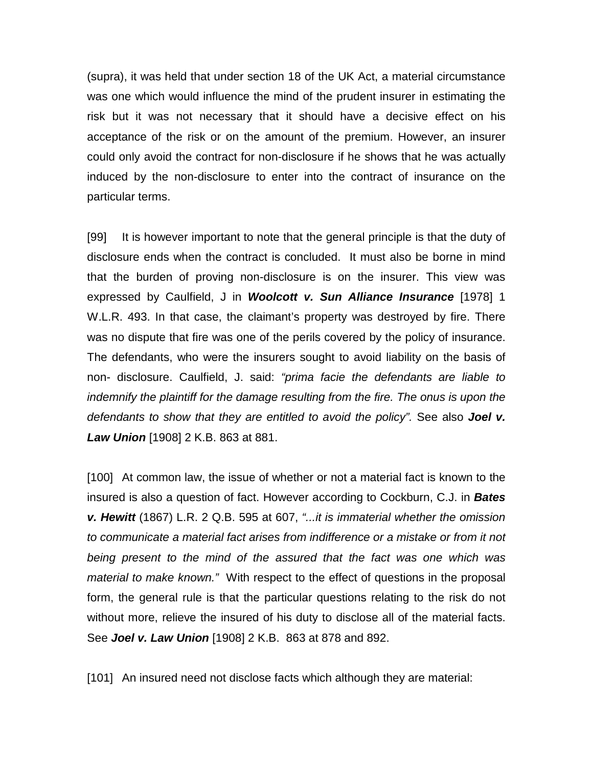(supra), it was held that under section 18 of the UK Act, a material circumstance was one which would influence the mind of the prudent insurer in estimating the risk but it was not necessary that it should have a decisive effect on his acceptance of the risk or on the amount of the premium. However, an insurer could only avoid the contract for non-disclosure if he shows that he was actually induced by the non-disclosure to enter into the contract of insurance on the particular terms.

[99] It is however important to note that the general principle is that the duty of disclosure ends when the contract is concluded. It must also be borne in mind that the burden of proving non-disclosure is on the insurer. This view was expressed by Caulfield, J in *Woolcott v. Sun Alliance Insurance* [1978] 1 W.L.R. 493. In that case, the claimant's property was destroyed by fire. There was no dispute that fire was one of the perils covered by the policy of insurance. The defendants, who were the insurers sought to avoid liability on the basis of non- disclosure. Caulfield, J. said: *"prima facie the defendants are liable to indemnify the plaintiff for the damage resulting from the fire. The onus is upon the defendants to show that they are entitled to avoid the policy".* See also *Joel v. Law Union* [1908] 2 K.B. 863 at 881.

[100] At common law, the issue of whether or not a material fact is known to the insured is also a question of fact. However according to Cockburn, C.J. in *Bates v. Hewitt* (1867) L.R. 2 Q.B. 595 at 607, *"...it is immaterial whether the omission to communicate a material fact arises from indifference or a mistake or from it not being present to the mind of the assured that the fact was one which was material to make known."* With respect to the effect of questions in the proposal form, the general rule is that the particular questions relating to the risk do not without more, relieve the insured of his duty to disclose all of the material facts. See *Joel v. Law Union* [1908] 2 K.B. 863 at 878 and 892.

[101] An insured need not disclose facts which although they are material: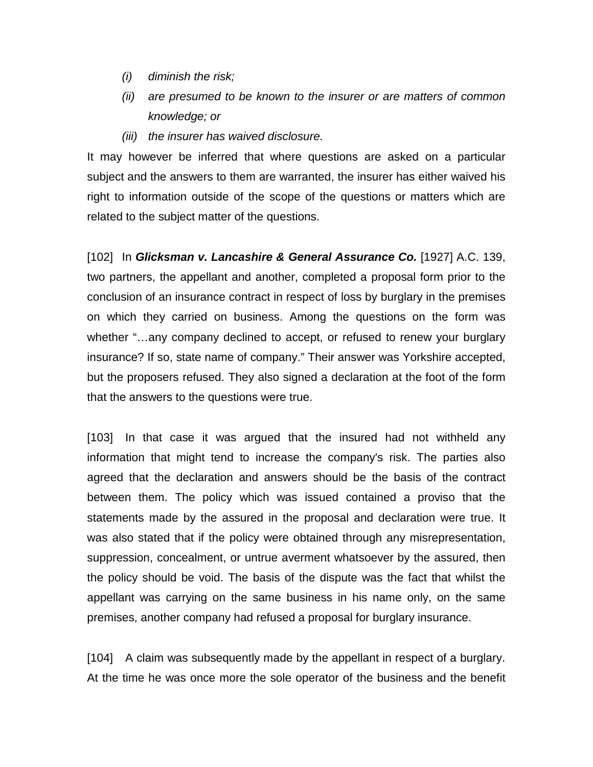- *(i) diminish the risk;*
- *(ii) are presumed to be known to the insurer or are matters of common knowledge; or*
- *(iii) the insurer has waived disclosure.*

It may however be inferred that where questions are asked on a particular subject and the answers to them are warranted, the insurer has either waived his right to information outside of the scope of the questions or matters which are related to the subject matter of the questions.

[102] In *Glicksman v. Lancashire & General Assurance Co.* [1927] A.C. 139, two partners, the appellant and another, completed a proposal form prior to the conclusion of an insurance contract in respect of loss by burglary in the premises on which they carried on business. Among the questions on the form was whether "…any company declined to accept, or refused to renew your burglary insurance? If so, state name of company." Their answer was Yorkshire accepted, but the proposers refused. They also signed a declaration at the foot of the form that the answers to the questions were true.

[103] In that case it was argued that the insured had not withheld any information that might tend to increase the company's risk. The parties also agreed that the declaration and answers should be the basis of the contract between them. The policy which was issued contained a proviso that the statements made by the assured in the proposal and declaration were true. It was also stated that if the policy were obtained through any misrepresentation, suppression, concealment, or untrue averment whatsoever by the assured, then the policy should be void. The basis of the dispute was the fact that whilst the appellant was carrying on the same business in his name only, on the same premises, another company had refused a proposal for burglary insurance.

[104] A claim was subsequently made by the appellant in respect of a burglary. At the time he was once more the sole operator of the business and the benefit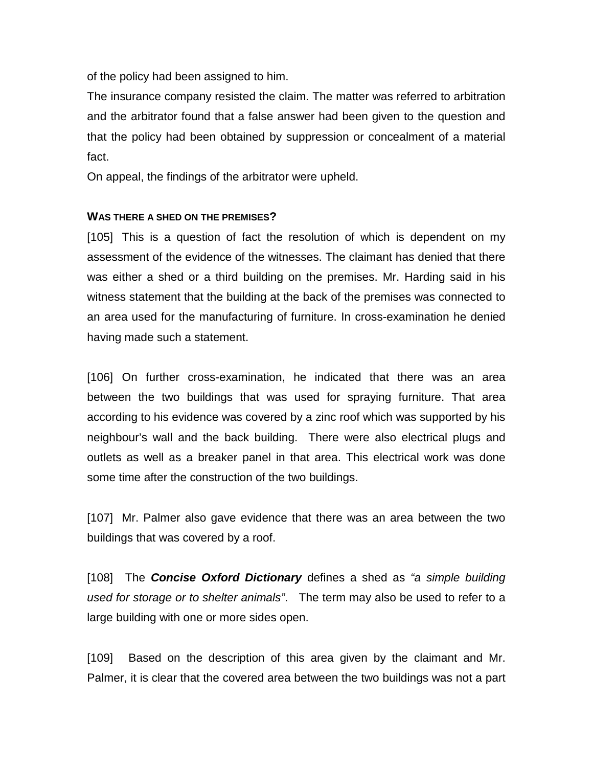of the policy had been assigned to him.

The insurance company resisted the claim. The matter was referred to arbitration and the arbitrator found that a false answer had been given to the question and that the policy had been obtained by suppression or concealment of a material fact.

On appeal, the findings of the arbitrator were upheld.

## **WAS THERE A SHED ON THE PREMISES?**

[105] This is a question of fact the resolution of which is dependent on my assessment of the evidence of the witnesses. The claimant has denied that there was either a shed or a third building on the premises. Mr. Harding said in his witness statement that the building at the back of the premises was connected to an area used for the manufacturing of furniture. In cross-examination he denied having made such a statement.

[106] On further cross-examination, he indicated that there was an area between the two buildings that was used for spraying furniture. That area according to his evidence was covered by a zinc roof which was supported by his neighbour's wall and the back building. There were also electrical plugs and outlets as well as a breaker panel in that area. This electrical work was done some time after the construction of the two buildings.

[107] Mr. Palmer also gave evidence that there was an area between the two buildings that was covered by a roof.

[108] The *Concise Oxford Dictionary* defines a shed as *"a simple building used for storage or to shelter animals"*. The term may also be used to refer to a large building with one or more sides open.

[109] Based on the description of this area given by the claimant and Mr. Palmer, it is clear that the covered area between the two buildings was not a part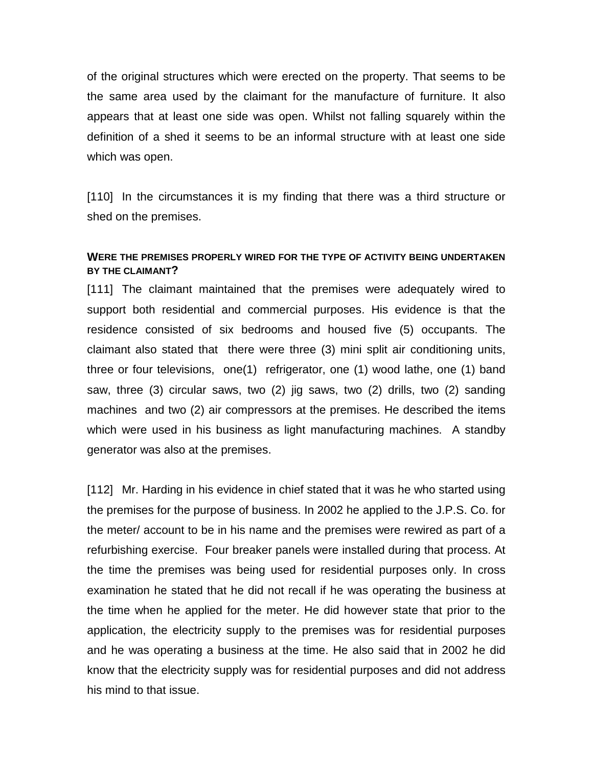of the original structures which were erected on the property. That seems to be the same area used by the claimant for the manufacture of furniture. It also appears that at least one side was open. Whilst not falling squarely within the definition of a shed it seems to be an informal structure with at least one side which was open.

[110] In the circumstances it is my finding that there was a third structure or shed on the premises.

## **WERE THE PREMISES PROPERLY WIRED FOR THE TYPE OF ACTIVITY BEING UNDERTAKEN BY THE CLAIMANT?**

[111] The claimant maintained that the premises were adequately wired to support both residential and commercial purposes. His evidence is that the residence consisted of six bedrooms and housed five (5) occupants. The claimant also stated that there were three (3) mini split air conditioning units, three or four televisions, one(1) refrigerator, one (1) wood lathe, one (1) band saw, three (3) circular saws, two (2) jig saws, two (2) drills, two (2) sanding machines and two (2) air compressors at the premises. He described the items which were used in his business as light manufacturing machines. A standby generator was also at the premises.

[112] Mr. Harding in his evidence in chief stated that it was he who started using the premises for the purpose of business. In 2002 he applied to the J.P.S. Co. for the meter/ account to be in his name and the premises were rewired as part of a refurbishing exercise. Four breaker panels were installed during that process. At the time the premises was being used for residential purposes only. In cross examination he stated that he did not recall if he was operating the business at the time when he applied for the meter. He did however state that prior to the application, the electricity supply to the premises was for residential purposes and he was operating a business at the time. He also said that in 2002 he did know that the electricity supply was for residential purposes and did not address his mind to that issue.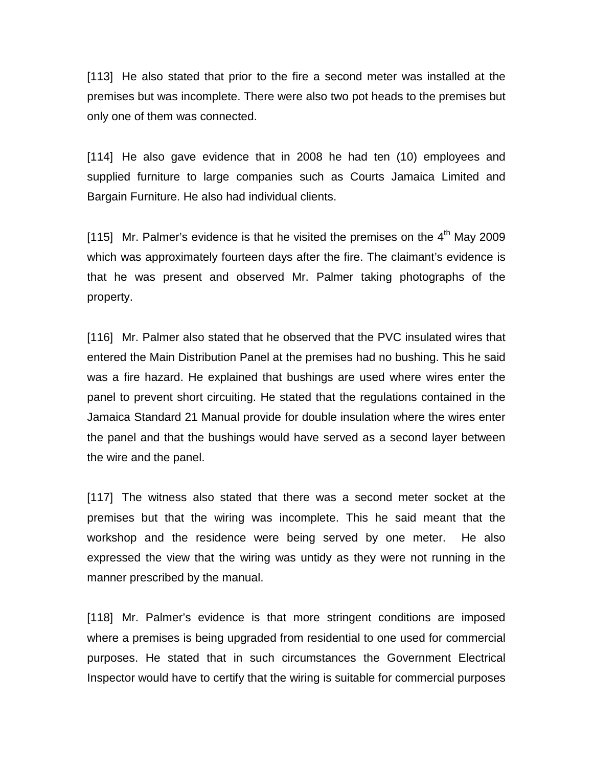[113] He also stated that prior to the fire a second meter was installed at the premises but was incomplete. There were also two pot heads to the premises but only one of them was connected.

[114] He also gave evidence that in 2008 he had ten (10) employees and supplied furniture to large companies such as Courts Jamaica Limited and Bargain Furniture. He also had individual clients.

[115] Mr. Palmer's evidence is that he visited the premises on the  $4<sup>th</sup>$  May 2009 which was approximately fourteen days after the fire. The claimant's evidence is that he was present and observed Mr. Palmer taking photographs of the property.

[116] Mr. Palmer also stated that he observed that the PVC insulated wires that entered the Main Distribution Panel at the premises had no bushing. This he said was a fire hazard. He explained that bushings are used where wires enter the panel to prevent short circuiting. He stated that the regulations contained in the Jamaica Standard 21 Manual provide for double insulation where the wires enter the panel and that the bushings would have served as a second layer between the wire and the panel.

[117] The witness also stated that there was a second meter socket at the premises but that the wiring was incomplete. This he said meant that the workshop and the residence were being served by one meter. He also expressed the view that the wiring was untidy as they were not running in the manner prescribed by the manual.

[118] Mr. Palmer's evidence is that more stringent conditions are imposed where a premises is being upgraded from residential to one used for commercial purposes. He stated that in such circumstances the Government Electrical Inspector would have to certify that the wiring is suitable for commercial purposes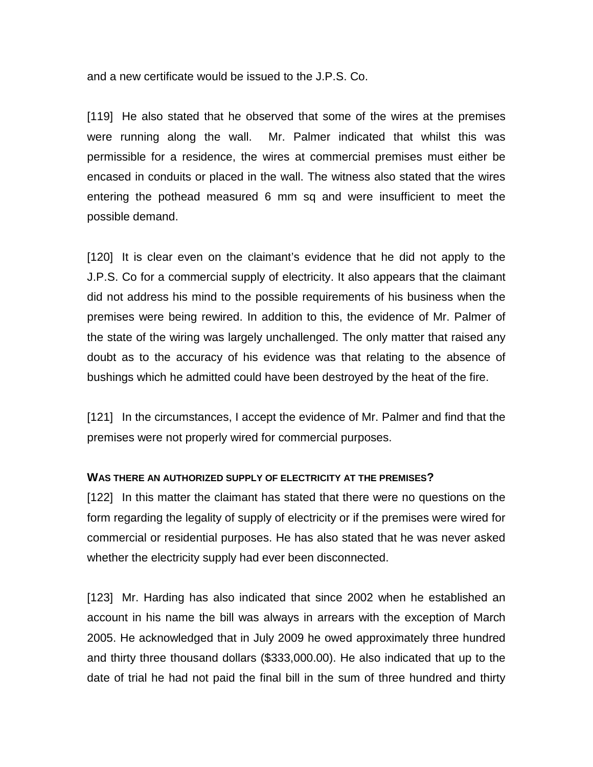and a new certificate would be issued to the J.P.S. Co.

[119] He also stated that he observed that some of the wires at the premises were running along the wall. Mr. Palmer indicated that whilst this was permissible for a residence, the wires at commercial premises must either be encased in conduits or placed in the wall. The witness also stated that the wires entering the pothead measured 6 mm sq and were insufficient to meet the possible demand.

[120] It is clear even on the claimant's evidence that he did not apply to the J.P.S. Co for a commercial supply of electricity. It also appears that the claimant did not address his mind to the possible requirements of his business when the premises were being rewired. In addition to this, the evidence of Mr. Palmer of the state of the wiring was largely unchallenged. The only matter that raised any doubt as to the accuracy of his evidence was that relating to the absence of bushings which he admitted could have been destroyed by the heat of the fire.

[121] In the circumstances, I accept the evidence of Mr. Palmer and find that the premises were not properly wired for commercial purposes.

#### **WAS THERE AN AUTHORIZED SUPPLY OF ELECTRICITY AT THE PREMISES?**

[122] In this matter the claimant has stated that there were no questions on the form regarding the legality of supply of electricity or if the premises were wired for commercial or residential purposes. He has also stated that he was never asked whether the electricity supply had ever been disconnected.

[123] Mr. Harding has also indicated that since 2002 when he established an account in his name the bill was always in arrears with the exception of March 2005. He acknowledged that in July 2009 he owed approximately three hundred and thirty three thousand dollars (\$333,000.00). He also indicated that up to the date of trial he had not paid the final bill in the sum of three hundred and thirty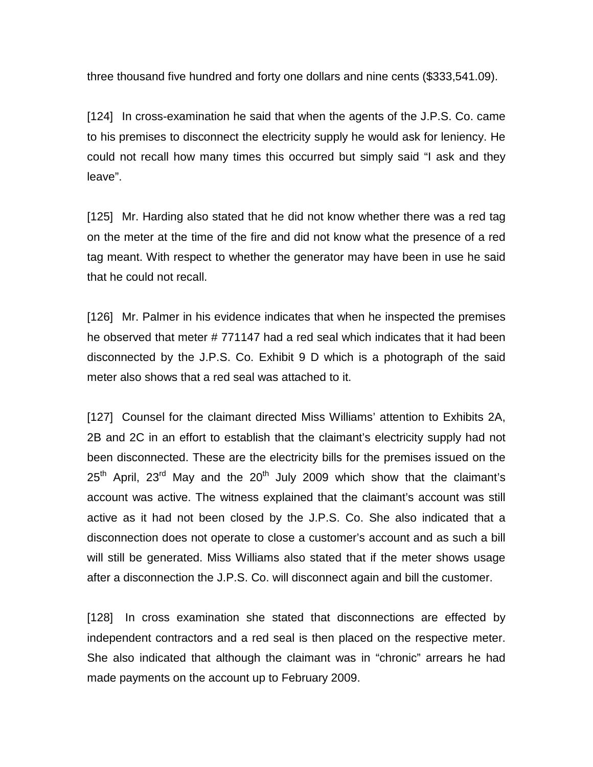three thousand five hundred and forty one dollars and nine cents (\$333,541.09).

[124] In cross-examination he said that when the agents of the J.P.S. Co. came to his premises to disconnect the electricity supply he would ask for leniency. He could not recall how many times this occurred but simply said "I ask and they leave".

[125] Mr. Harding also stated that he did not know whether there was a red tag on the meter at the time of the fire and did not know what the presence of a red tag meant. With respect to whether the generator may have been in use he said that he could not recall.

[126] Mr. Palmer in his evidence indicates that when he inspected the premises he observed that meter # 771147 had a red seal which indicates that it had been disconnected by the J.P.S. Co. Exhibit 9 D which is a photograph of the said meter also shows that a red seal was attached to it.

[127] Counsel for the claimant directed Miss Williams' attention to Exhibits 2A, 2B and 2C in an effort to establish that the claimant's electricity supply had not been disconnected. These are the electricity bills for the premises issued on the  $25<sup>th</sup>$  April,  $23<sup>rd</sup>$  May and the  $20<sup>th</sup>$  July 2009 which show that the claimant's account was active. The witness explained that the claimant's account was still active as it had not been closed by the J.P.S. Co. She also indicated that a disconnection does not operate to close a customer's account and as such a bill will still be generated. Miss Williams also stated that if the meter shows usage after a disconnection the J.P.S. Co. will disconnect again and bill the customer.

[128] In cross examination she stated that disconnections are effected by independent contractors and a red seal is then placed on the respective meter. She also indicated that although the claimant was in "chronic" arrears he had made payments on the account up to February 2009.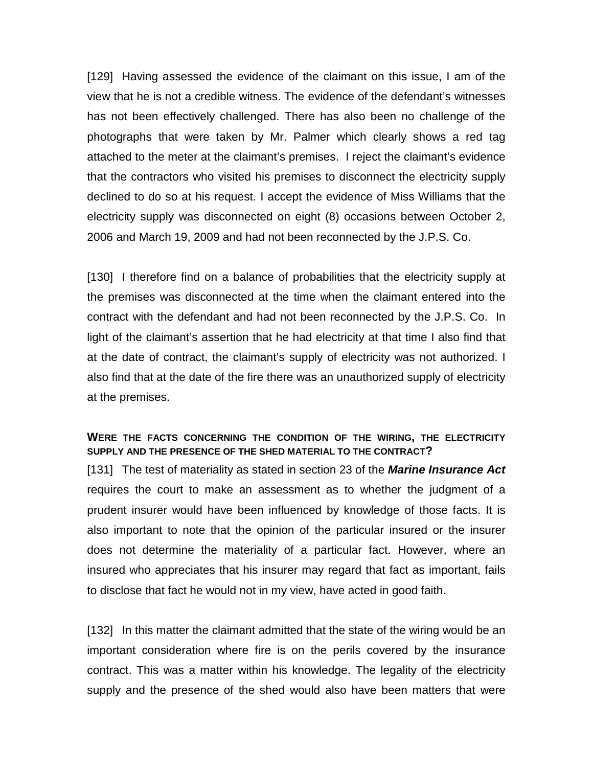[129] Having assessed the evidence of the claimant on this issue, I am of the view that he is not a credible witness. The evidence of the defendant's witnesses has not been effectively challenged. There has also been no challenge of the photographs that were taken by Mr. Palmer which clearly shows a red tag attached to the meter at the claimant's premises. I reject the claimant's evidence that the contractors who visited his premises to disconnect the electricity supply declined to do so at his request. I accept the evidence of Miss Williams that the electricity supply was disconnected on eight (8) occasions between October 2, 2006 and March 19, 2009 and had not been reconnected by the J.P.S. Co.

[130] I therefore find on a balance of probabilities that the electricity supply at the premises was disconnected at the time when the claimant entered into the contract with the defendant and had not been reconnected by the J.P.S. Co. In light of the claimant's assertion that he had electricity at that time I also find that at the date of contract, the claimant's supply of electricity was not authorized. I also find that at the date of the fire there was an unauthorized supply of electricity at the premises.

## **WERE THE FACTS CONCERNING THE CONDITION OF THE WIRING, THE ELECTRICITY SUPPLY AND THE PRESENCE OF THE SHED MATERIAL TO THE CONTRACT?**

[131] The test of materiality as stated in section 23 of the *Marine Insurance Act*  requires the court to make an assessment as to whether the judgment of a prudent insurer would have been influenced by knowledge of those facts. It is also important to note that the opinion of the particular insured or the insurer does not determine the materiality of a particular fact. However, where an insured who appreciates that his insurer may regard that fact as important, fails to disclose that fact he would not in my view, have acted in good faith.

[132] In this matter the claimant admitted that the state of the wiring would be an important consideration where fire is on the perils covered by the insurance contract. This was a matter within his knowledge. The legality of the electricity supply and the presence of the shed would also have been matters that were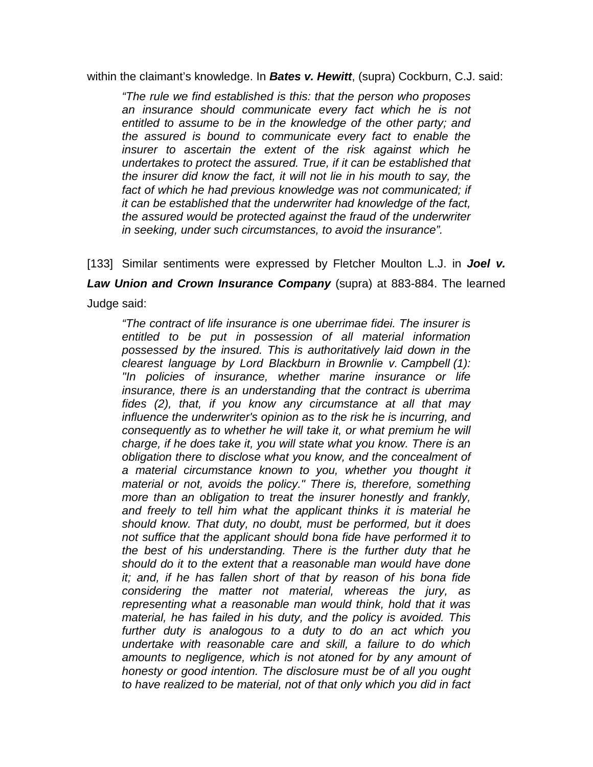within the claimant's knowledge. In *Bates v. Hewitt*, (supra) Cockburn, C.J. said:

*"The rule we find established is this: that the person who proposes an insurance should communicate every fact which he is not entitled to assume to be in the knowledge of the other party; and the assured is bound to communicate every fact to enable the insurer to ascertain the extent of the risk against which he undertakes to protect the assured. True, if it can be established that the insurer did know the fact, it will not lie in his mouth to say, the fact of which he had previous knowledge was not communicated; if it can be established that the underwriter had knowledge of the fact, the assured would be protected against the fraud of the underwriter in seeking, under such circumstances, to avoid the insurance".*

[133] Similar sentiments were expressed by Fletcher Moulton L.J. in *Joel v. Law Union and Crown Insurance Company* (supra) at 883-884. The learned Judge said:

*"The contract of life insurance is one uberrimae fidei. The insurer is entitled to be put in possession of all material information possessed by the insured. This is authoritatively laid down in the clearest language by Lord Blackburn in Brownlie v. Campbell (1): "In policies of insurance, whether marine insurance or life insurance, there is an understanding that the contract is uberrima fides (2), that, if you know any circumstance at all that may influence the underwriter's opinion as to the risk he is incurring, and consequently as to whether he will take it, or what premium he will charge, if he does take it, you will state what you know. There is an obligation there to disclose what you know, and the concealment of a material circumstance known to you, whether you thought it material or not, avoids the policy." There is, therefore, something more than an obligation to treat the insurer honestly and frankly, and freely to tell him what the applicant thinks it is material he should know. That duty, no doubt, must be performed, but it does not suffice that the applicant should bona fide have performed it to the best of his understanding. There is the further duty that he should do it to the extent that a reasonable man would have done it; and, if he has fallen short of that by reason of his bona fide considering the matter not material, whereas the jury, as representing what a reasonable man would think, hold that it was material, he has failed in his duty, and the policy is avoided. This further duty is analogous to a duty to do an act which you undertake with reasonable care and skill, a failure to do which amounts to negligence, which is not atoned for by any amount of honesty or good intention. The disclosure must be of all you ought to have realized to be material, not of that only which you did in fact*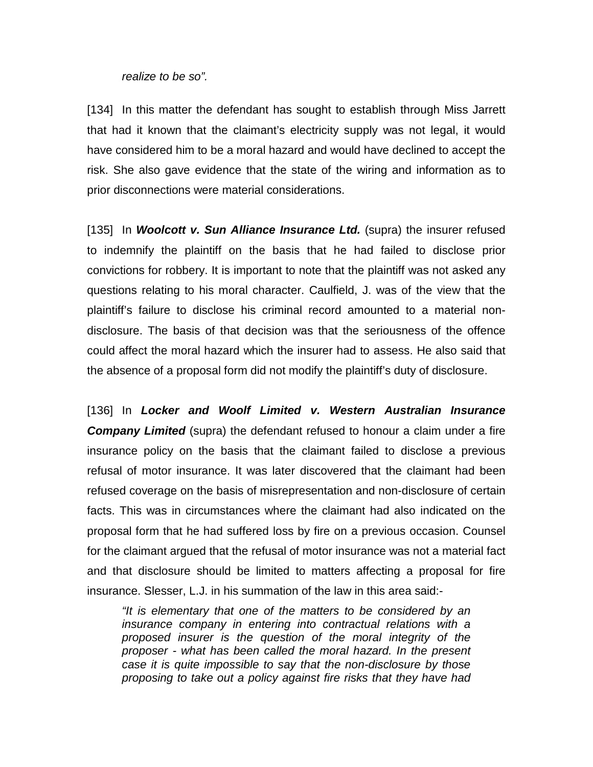#### *realize to be so".*

[134] In this matter the defendant has sought to establish through Miss Jarrett that had it known that the claimant's electricity supply was not legal, it would have considered him to be a moral hazard and would have declined to accept the risk. She also gave evidence that the state of the wiring and information as to prior disconnections were material considerations.

[135] In *Woolcott v. Sun Alliance Insurance Ltd.* (supra) the insurer refused to indemnify the plaintiff on the basis that he had failed to disclose prior convictions for robbery. It is important to note that the plaintiff was not asked any questions relating to his moral character. Caulfield, J. was of the view that the plaintiff's failure to disclose his criminal record amounted to a material nondisclosure. The basis of that decision was that the seriousness of the offence could affect the moral hazard which the insurer had to assess. He also said that the absence of a proposal form did not modify the plaintiff's duty of disclosure.

[136] In Locker and Woolf Limited v. Western Australian Insurance **Company Limited** (supra) the defendant refused to honour a claim under a fire insurance policy on the basis that the claimant failed to disclose a previous refusal of motor insurance. It was later discovered that the claimant had been refused coverage on the basis of misrepresentation and non-disclosure of certain facts. This was in circumstances where the claimant had also indicated on the proposal form that he had suffered loss by fire on a previous occasion. Counsel for the claimant argued that the refusal of motor insurance was not a material fact and that disclosure should be limited to matters affecting a proposal for fire insurance. Slesser, L.J. in his summation of the law in this area said:-

*"It is elementary that one of the matters to be considered by an insurance company in entering into contractual relations with a proposed insurer is the question of the moral integrity of the proposer - what has been called the moral hazard. In the present case it is quite impossible to say that the non-disclosure by those proposing to take out a policy against fire risks that they have had*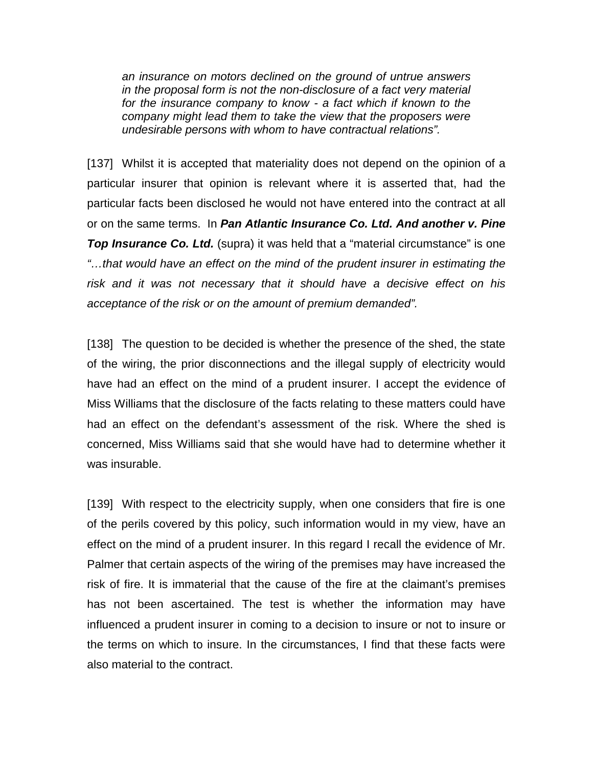*an insurance on motors declined on the ground of untrue answers in the proposal form is not the non-disclosure of a fact very material for the insurance company to know - a fact which if known to the company might lead them to take the view that the proposers were undesirable persons with whom to have contractual relations".*

[137] Whilst it is accepted that materiality does not depend on the opinion of a particular insurer that opinion is relevant where it is asserted that, had the particular facts been disclosed he would not have entered into the contract at all or on the same terms. In *Pan Atlantic Insurance Co. Ltd. And another v. Pine Top Insurance Co. Ltd.* (supra) it was held that a "material circumstance" is one *"…that would have an effect on the mind of the prudent insurer in estimating the risk and it was not necessary that it should have a decisive effect on his acceptance of the risk or on the amount of premium demanded".*

[138] The question to be decided is whether the presence of the shed, the state of the wiring, the prior disconnections and the illegal supply of electricity would have had an effect on the mind of a prudent insurer. I accept the evidence of Miss Williams that the disclosure of the facts relating to these matters could have had an effect on the defendant's assessment of the risk. Where the shed is concerned, Miss Williams said that she would have had to determine whether it was insurable.

[139] With respect to the electricity supply, when one considers that fire is one of the perils covered by this policy, such information would in my view, have an effect on the mind of a prudent insurer. In this regard I recall the evidence of Mr. Palmer that certain aspects of the wiring of the premises may have increased the risk of fire. It is immaterial that the cause of the fire at the claimant's premises has not been ascertained. The test is whether the information may have influenced a prudent insurer in coming to a decision to insure or not to insure or the terms on which to insure. In the circumstances, I find that these facts were also material to the contract.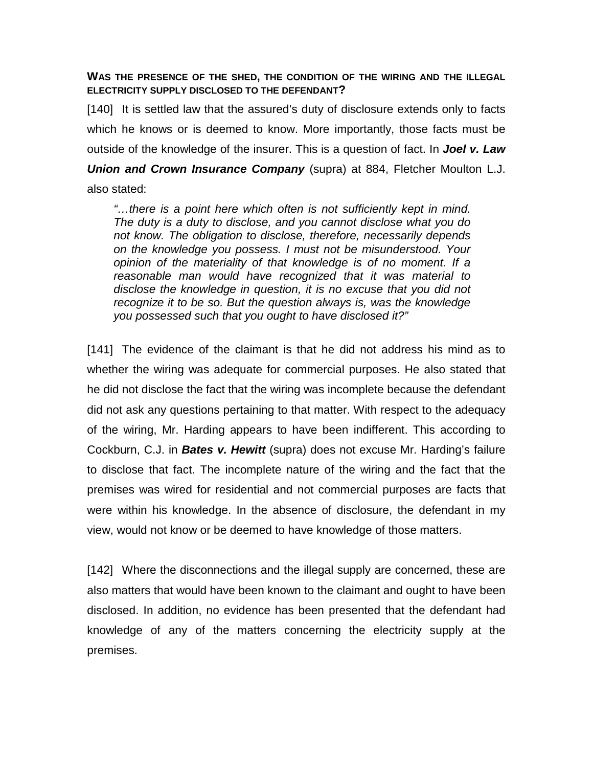## **WAS THE PRESENCE OF THE SHED, THE CONDITION OF THE WIRING AND THE ILLEGAL ELECTRICITY SUPPLY DISCLOSED TO THE DEFENDANT?**

[140] It is settled law that the assured's duty of disclosure extends only to facts which he knows or is deemed to know. More importantly, those facts must be outside of the knowledge of the insurer. This is a question of fact. In *Joel v. Law Union and Crown Insurance Company* (supra) at 884, Fletcher Moulton L.J.

also stated:

*"…there is a point here which often is not sufficiently kept in mind. The duty is a duty to disclose, and you cannot disclose what you do not know. The obligation to disclose, therefore, necessarily depends on the knowledge you possess. I must not be misunderstood. Your opinion of the materiality of that knowledge is of no moment. If a reasonable man would have recognized that it was material to disclose the knowledge in question, it is no excuse that you did not recognize it to be so. But the question always is, was the knowledge you possessed such that you ought to have disclosed it?"*

[141] The evidence of the claimant is that he did not address his mind as to whether the wiring was adequate for commercial purposes. He also stated that he did not disclose the fact that the wiring was incomplete because the defendant did not ask any questions pertaining to that matter. With respect to the adequacy of the wiring, Mr. Harding appears to have been indifferent. This according to Cockburn, C.J. in *Bates v. Hewitt* (supra) does not excuse Mr. Harding's failure to disclose that fact. The incomplete nature of the wiring and the fact that the premises was wired for residential and not commercial purposes are facts that were within his knowledge. In the absence of disclosure, the defendant in my view, would not know or be deemed to have knowledge of those matters.

[142] Where the disconnections and the illegal supply are concerned, these are also matters that would have been known to the claimant and ought to have been disclosed. In addition, no evidence has been presented that the defendant had knowledge of any of the matters concerning the electricity supply at the premises.